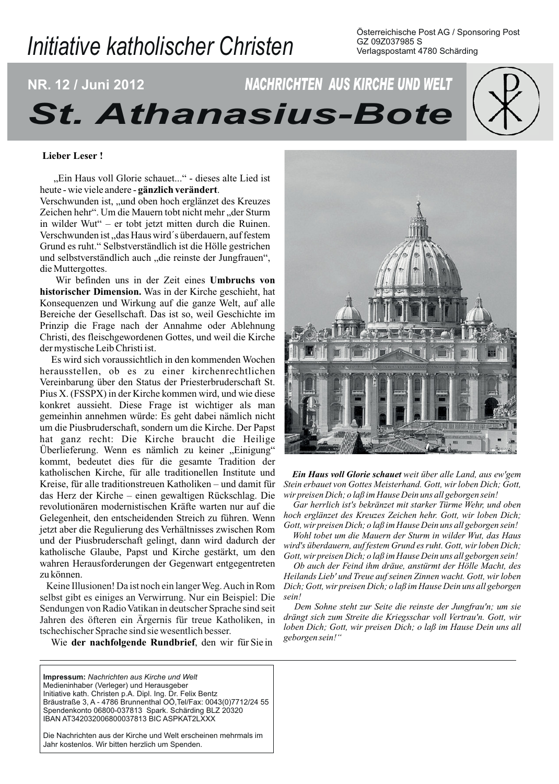# Initiative katholischer Christen

Osterreichische Post AG / Sponsoring Post GZ 09Z037985 S Verlagspostamt 4780 Schärding

# NACHRICHTEN AUS KIRCHE UND WELT NR. 12 / Juni 2012 **St. Athanasius-Bote**

# **Lieber Leser!**

"Ein Haus voll Glorie schauet..." - dieses alte Lied ist heute - wie viele andere - gänzlich verändert.

Verschwunden ist, "und oben hoch erglänzet des Kreuzes Zeichen hehr". Um die Mauern tobt nicht mehr "der Sturm in wilder Wut" – er tobt jetzt mitten durch die Ruinen. Verschwunden ist, das Haus wird's überdauern, auf festem Grund es ruht." Selbstverständlich ist die Hölle gestrichen und selbstverständlich auch "die reinste der Jungfrauen", die Muttergottes.

Wir befinden uns in der Zeit eines Umbruchs von historischer Dimension. Was in der Kirche geschieht, hat Konsequenzen und Wirkung auf die ganze Welt, auf alle Bereiche der Gesellschaft. Das ist so, weil Geschichte im Prinzip die Frage nach der Annahme oder Ablehnung Christi, des fleischgewordenen Gottes, und weil die Kirche der mystische Leib Christi ist.

Es wird sich voraussichtlich in den kommenden Wochen herausstellen, ob es zu einer kirchenrechtlichen Vereinbarung über den Status der Priesterbruderschaft St. Pius X. (FSSPX) in der Kirche kommen wird, und wie diese konkret aussieht. Diese Frage ist wichtiger als man gemeinhin annehmen würde: Es geht dabei nämlich nicht um die Piusbruderschaft, sondern um die Kirche. Der Papst hat ganz recht: Die Kirche braucht die Heilige Überlieferung. Wenn es nämlich zu keiner "Einigung" kommt, bedeutet dies für die gesamte Tradition der katholischen Kirche, für alle traditionellen Institute und Kreise, für alle traditionstreuen Katholiken – und damit für das Herz der Kirche - einen gewaltigen Rückschlag. Die revolutionären modernistischen Kräfte warten nur auf die Gelegenheit, den entscheidenden Streich zu führen. Wenn jetzt aber die Regulierung des Verhältnisses zwischen Rom und der Piusbruderschaft gelingt, dann wird dadurch der katholische Glaube, Papst und Kirche gestärkt, um den wahren Herausforderungen der Gegenwart entgegentreten zu können.

Keine Illusionen! Da ist noch ein langer Weg. Auch in Rom selbst gibt es einiges an Verwirrung. Nur ein Beispiel: Die Sendungen von Radio Vatikan in deutscher Sprache sind seit Jahren des öfteren ein Ärgernis für treue Katholiken, in tschechischer Sprache sind sie wesentlich besser.

Wie der nachfolgende Rundbrief, den wir für Sie in

Impressum: Nachrichten aus Kirche und Welt Medieninhaber (Verleger) und Herausgeber Initiative kath. Christen p.A. Dipl. Ing. Dr. Felix Bentz Bräustraße 3, A - 4786 Brunnenthal OÖ, Tel/Fax: 0043(0)7712/24 55 Spendenkonto 06800-037813 Spark. Schärding BLZ 20320 IBAN AT342032006800037813 BIC ASPKAT2LXXX

Die Nachrichten aus der Kirche und Welt erscheinen mehrmals im Jahr kostenlos. Wir bitten herzlich um Spenden.



Ein Haus voll Glorie schauet weit über alle Land, aus ew'gem Stein erbauet von Gottes Meisterhand. Gott, wir loben Dich; Gott, wir preisen Dich; o laß im Hause Dein uns all geborgen sein!

Gar herrlich ist's bekränzet mit starker Türme Wehr, und oben hoch erglänzet des Kreuzes Zeichen hehr. Gott, wir loben Dich; Gott, wir preisen Dich; o laß im Hause Dein uns all geborgen sein!

Wohl tobet um die Mauern der Sturm in wilder Wut, das Haus wird's überdauern, auf festem Grund es ruht. Gott, wir loben Dich; Gott, wir preisen Dich; o laß im Hause Dein uns all geborgen sein!

Ob auch der Feind ihm dräue, anstürmt der Hölle Macht, des Heilands Lieb' und Treue auf seinen Zinnen wacht. Gott, wir loben Dich; Gott, wir preisen Dich; o laß im Hause Dein uns all geborgen  $\sinh$ 

Dem Sohne steht zur Seite die reinste der Jungfrau'n; um sie drängt sich zum Streite die Kriegsschar voll Vertrau'n. Gott, wir loben Dich; Gott, wir preisen Dich; o laß im Hause Dein uns all geborgen sein!"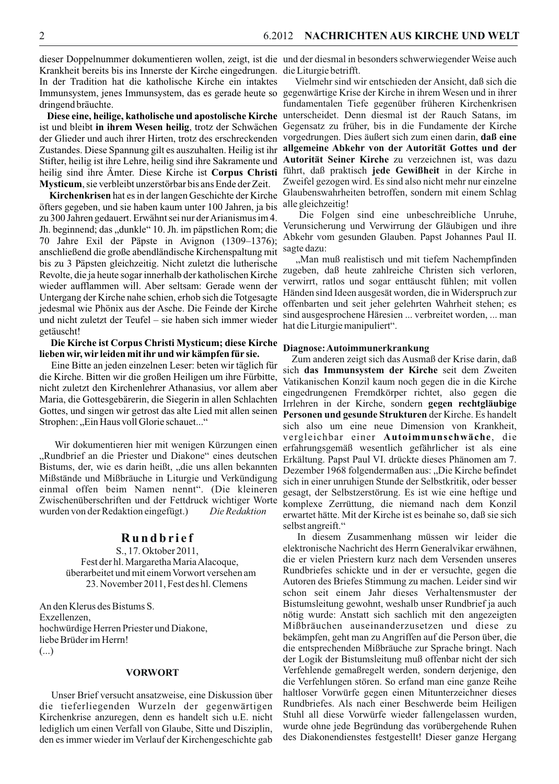Krankheit bereits bis ins Innerste der Kirche eingedrungen. die Liturgie betrifft. In der Tradition hat die katholische Kirche ein intaktes Immunsystem, jenes Immunsystem, das es gerade heute so gegenwärtige Krise der Kirche in ihrem Wesen und in ihrer dringend bräuchte.

Diese eine, heilige, katholische und apostolische Kirche ist und bleibt in ihrem Wesen heilig, trotz der Schwächen Gegensatz zu früher, bis in die Fundamente der Kirche der Glieder und auch ihrer Hirten, trotz des erschreckenden vorgedrungen. Dies äußert sich zum einen darin, daß eine Zustandes. Diese Spannung gilt es auszuhalten. Heilig ist ihr allgemeine Abkehr von der Autorität Gottes und der Stifter, heilig ist ihre Lehre, heilig sind ihre Sakramente und heilig sind ihre Ämter. Diese Kirche ist Corpus Christi Mysticum, sie verbleibt unzerstörbar bis ans Ende der Zeit.

**Kirchenkrisen** hat es in der langen Geschichte der Kirche öfters gegeben, und sie haben kaum unter 100 Jahren, ja bis zu 300 Jahren gedauert. Erwähnt sei nur der Arianismus im 4. Jh. beginnend; das "dunkle" 10. Jh. im päpstlichen Rom; die 70 Jahre Exil der Päpste in Avignon (1309-1376); anschließend die große abendländische Kirchenspaltung mit bis zu 3 Päpsten gleichzeitig. Nicht zuletzt die lutherische Revolte, die ja heute sogar innerhalb der katholischen Kirche wieder aufflammen will. Aber seltsam: Gerade wenn der Untergang der Kirche nahe schien, erhob sich die Totgesagte jedesmal wie Phönix aus der Asche. Die Feinde der Kirche und nicht zuletzt der Teufel – sie haben sich immer wieder getäuscht!

#### Die Kirche ist Corpus Christi Mysticum; diese Kirche lieben wir, wir leiden mit ihr und wir kämpfen für sie.

Eine Bitte an jeden einzelnen Leser: beten wir täglich für die Kirche. Bitten wir die großen Heiligen um ihre Fürbitte, nicht zuletzt den Kirchenlehrer Athanasius, vor allem aber Maria, die Gottesgebärerin, die Siegerin in allen Schlachten Gottes, und singen wir getrost das alte Lied mit allen seinen Strophen: "Ein Haus voll Glorie schauet..."

Wir dokumentieren hier mit wenigen Kürzungen einen "Rundbrief an die Priester und Diakone" eines deutschen Bistums, der, wie es darin heißt, "die uns allen bekannten Mißstände und Mißbräuche in Liturgie und Verkündigung einmal offen beim Namen nennt". (Die kleineren Zwischenüberschriften und der Fettdruck wichtiger Worte wurden von der Redaktion eingefügt.) Die Redaktion

# Rundbrief

S., 17. Oktober 2011, Fest der hl. Margaretha Maria Alacoque, überarbeitet und mit einem Vorwort versehen am 23. November 2011, Fest des hl. Clemens

An den Klerus des Bistums S. Exzellenzen. hochwürdige Herren Priester und Diakone, liebe Brüder im Herrn!  $(\ldots)$ 

#### **VORWORT**

Unser Brief versucht ansatzweise, eine Diskussion über die tieferliegenden Wurzeln der gegenwärtigen Kirchenkrise anzuregen, denn es handelt sich u.E. nicht lediglich um einen Verfall von Glaube, Sitte und Disziplin, den es immer wieder im Verlauf der Kirchengeschichte gab

dieser Doppelnummer dokumentieren wollen, zeigt, ist die und der diesmal in besonders schwerwiegender Weise auch

Vielmehr sind wir entschieden der Ansicht, daß sich die fundamentalen Tiefe gegenüber früheren Kirchenkrisen unterscheidet. Denn diesmal ist der Rauch Satans, im Autorität Seiner Kirche zu verzeichnen ist, was dazu führt, daß praktisch jede Gewißheit in der Kirche in Zweifel gezogen wird. Es sind also nicht mehr nur einzelne Glaubenswahrheiten betroffen, sondern mit einem Schlag alle gleichzeitig!

Die Folgen sind eine unbeschreibliche Unruhe, Verunsicherung und Verwirrung der Gläubigen und ihre Abkehr vom gesunden Glauben. Papst Johannes Paul II. sagte dazu:

"Man muß realistisch und mit tiefem Nachempfinden zugeben, daß heute zahlreiche Christen sich verloren, verwirrt, ratlos und sogar enttäuscht fühlen; mit vollen Händen sind Ideen ausgesät worden, die in Widerspruch zur offenbarten und seit jeher gelehrten Wahrheit stehen; es sind ausgesprochene Häresien ... verbreitet worden, ... man hat die Liturgie manipuliert".

# Diagnose: Autoimmunerkrankung

Zum anderen zeigt sich das Ausmaß der Krise darin, daß sich das Immunsystem der Kirche seit dem Zweiten Vatikanischen Konzil kaum noch gegen die in die Kirche eingedrungenen Fremdkörper richtet, also gegen die Irrlehren in der Kirche, sondern gegen rechtgläubige Personen und gesunde Strukturen der Kirche. Es handelt sich also um eine neue Dimension von Krankheit. vergleichbar einer Autoimmunschwäche, die erfahrungsgemäß wesentlich gefährlicher ist als eine Erkältung. Papst Paul VI. drückte dieses Phänomen am 7. Dezember 1968 folgendermaßen aus: "Die Kirche befindet sich in einer unruhigen Stunde der Selbstkritik, oder besser gesagt, der Selbstzerstörung. Es ist wie eine heftige und komplexe Zerrüttung, die niemand nach dem Konzil erwartet hätte. Mit der Kirche ist es beinahe so, daß sie sich selbst angreift."

In diesem Zusammenhang müssen wir leider die elektronische Nachricht des Herrn Generalvikar erwähnen, die er vielen Priestern kurz nach dem Versenden unseres Rundbriefes schickte und in der er versuchte, gegen die Autoren des Briefes Stimmung zu machen. Leider sind wir schon seit einem Jahr dieses Verhaltensmuster der Bistumsleitung gewohnt, weshalb unser Rundbrief ja auch nötig wurde: Anstatt sich sachlich mit den angezeigten Mißbräuchen auseinanderzusetzen und diese zu bekämpfen, geht man zu Angriffen auf die Person über, die die entsprechenden Mißbräuche zur Sprache bringt. Nach der Logik der Bistumsleitung muß offenbar nicht der sich Verfehlende gemaßregelt werden, sondern derjenige, den die Verfehlungen stören. So erfand man eine ganze Reihe haltloser Vorwürfe gegen einen Mitunterzeichner dieses Rundbriefes. Als nach einer Beschwerde beim Heiligen Stuhl all diese Vorwürfe wieder fallengelassen wurden, wurde ohne jede Begründung das vorübergehende Ruhen des Diakonendienstes festgestellt! Dieser ganze Hergang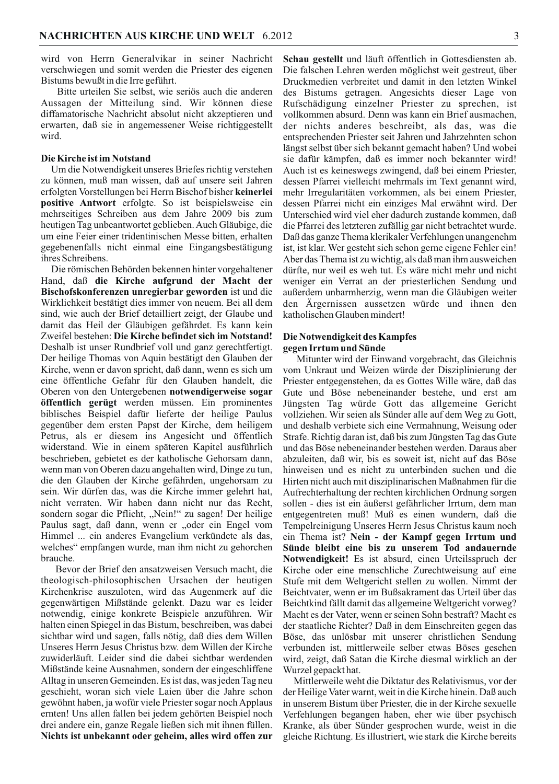wird von Herrn Generalvikar in seiner Nachricht verschwiegen und somit werden die Priester des eigenen Bistums bewußt in die Irre geführt.

Bitte urteilen Sie selbst, wie seriös auch die anderen Aussagen der Mitteilung sind. Wir können diese diffamatorische Nachricht absolut nicht akzeptieren und erwarten, daß sie in angemessener Weise richtiggestellt wird.

#### Die Kirche ist im Notstand

Um die Notwendigkeit unseres Briefes richtig verstehen zu können, muß man wissen, daß auf unsere seit Jahren erfolgten Vorstellungen bei Herrn Bischof bisher keinerlei **positive Antwort** erfolgte. So ist beispiels weise ein mehrseitiges Schreiben aus dem Jahre 2009 bis zum heutigen Tag unbeantwortet geblieben. Auch Gläubige, die um eine Feier einer tridentinischen Messe bitten, erhalten gegebenenfalls nicht einmal eine Eingangsbestätigung ihres Schreibens.

Die römischen Behörden bekennen hinter vorgehaltener Hand, daß die Kirche aufgrund der Macht der Bischofskonferenzen unregierbar geworden ist und die Wirklichkeit bestätigt dies immer von neuem. Bei all dem sind, wie auch der Brief detailliert zeigt, der Glaube und damit das Heil der Gläubigen gefährdet. Es kann kein Zweifel bestehen: Die Kirche befindet sich im Notstand! Deshalb ist unser Rundbrief voll und ganz gerechtfertigt. Der heilige Thomas von Aquin bestätigt den Glauben der Kirche, wenn er davon spricht, daß dann, wenn es sich um eine öffentliche Gefahr für den Glauben handelt, die Oberen von den Untergebenen notwendigerweise sogar öffentlich gerügt werden müssen. Ein prominentes biblisches Beispiel dafür lieferte der heilige Paulus gegenüber dem ersten Papst der Kirche, dem heiligem Petrus, als er diesem ins Angesicht und öffentlich widerstand. Wie in einem späteren Kapitel ausführlich beschrieben, gebietet es der katholische Gehorsam dann, wenn man von Oberen dazu angehalten wird, Dinge zu tun, die den Glauben der Kirche gefährden, ungehorsam zu sein. Wir dürfen das, was die Kirche immer gelehrt hat, nicht verraten. Wir haben dann nicht nur das Recht, sondern sogar die Pflicht, "Nein!" zu sagen! Der heilige Paulus sagt, daß dann, wenn er "oder ein Engel vom Himmel ... ein anderes Evangelium verkündete als das, welches" empfangen wurde, man ihm nicht zu gehorchen brauche.

Bevor der Brief den ansatzweisen Versuch macht, die theologisch-philosophischen Ursachen der heutigen Kirchenkrise auszuloten, wird das Augenmerk auf die gegenwärtigen Mißstände gelenkt. Dazu war es leider notwendig, einige konkrete Beispiele anzuführen. Wir halten einen Spiegel in das Bistum, beschreiben, was dabei sichtbar wird und sagen, falls nötig, daß dies dem Willen Unseres Herrn Jesus Christus bzw. dem Willen der Kirche zuwiderläuft. Leider sind die dabei sichtbar werdenden Mißstände keine Ausnahmen, sondern der eingeschliffene Alltag in unseren Gemeinden. Es ist das, was jeden Tag neu geschieht, woran sich viele Laien über die Jahre schon gewöhnt haben, ja wofür viele Priester sogar noch Applaus ernten! Uns allen fallen bei jedem gehörten Beispiel noch drei andere ein, ganze Regale ließen sich mit ihnen füllen. Nichts ist unbekannt oder geheim, alles wird offen zur Schau gestellt und läuft öffentlich in Gottesdiensten ab. Die falschen Lehren werden möglichst weit gestreut, über Druckmedien verbreitet und damit in den letzten Winkel des Bistums getragen. Angesichts dieser Lage von Rufschädigung einzelner Priester zu sprechen, ist vollkommen absurd. Denn was kann ein Brief ausmachen, der nichts anderes beschreibt, als das, was die entsprechenden Priester seit Jahren und Jahrzehnten schon längst selbst über sich bekannt gemacht haben? Und wobei sie dafür kämpfen, daß es immer noch bekannter wird! Auch ist es keineswegs zwingend, daß bei einem Priester, dessen Pfarrei vielleicht mehrmals im Text genannt wird, mehr Irregularitäten vorkommen, als bei einem Priester, dessen Pfarrei nicht ein einziges Mal erwähnt wird. Der Unterschied wird viel eher dadurch zustande kommen, daß die Pfarrei des letzteren zufällig gar nicht betrachtet wurde. Daß das ganze Thema klerikaler Verfehlungen unangenehm ist, ist klar. Wer gesteht sich schon gerne eigene Fehler ein! Aber das Thema ist zu wichtig, als daß man ihm ausweichen dürfte, nur weil es weh tut. Es wäre nicht mehr und nicht weniger ein Verrat an der priesterlichen Sendung und außerdem unbarmherzig, wenn man die Gläubigen weiter den Ärgernissen aussetzen würde und ihnen den katholischen Glauben mindert!

#### Die Notwendigkeit des Kampfes gegen Irrtum und Sünde

Mitunter wird der Einwand vorgebracht, das Gleichnis vom Unkraut und Weizen würde der Disziplinierung der Priester entgegenstehen, da es Gottes Wille wäre, daß das Gute und Böse nebeneinander bestehe, und erst am Jüngsten Tag würde Gott das allgemeine Gericht vollziehen. Wir seien als Sünder alle auf dem Weg zu Gott, und deshalb verbiete sich eine Vermahnung, Weisung oder Strafe. Richtig daran ist, daß bis zum Jüngsten Tag das Gute und das Böse nebeneinander bestehen werden. Daraus aber abzuleiten, daß wir, bis es soweit ist, nicht auf das Böse hinweisen und es nicht zu unterbinden suchen und die Hirten nicht auch mit disziplinarischen Maßnahmen für die Aufrechterhaltung der rechten kirchlichen Ordnung sorgen sollen - dies ist ein äußerst gefährlicher Irrtum, dem man entgegentreten muß! Muß es einen wundern, daß die Tempelreinigung Unseres Herrn Jesus Christus kaum noch ein Thema ist? Nein - der Kampf gegen Irrtum und Sünde bleibt eine bis zu unserem Tod andauernde Notwendigkeit! Es ist absurd, einen Urteilsspruch der Kirche oder eine menschliche Zurechtweisung auf eine Stufe mit dem Weltgericht stellen zu wollen. Nimmt der Beichtvater, wenn er im Bußsakrament das Urteil über das Beichtkind fällt damit das allgemeine Weltgericht vorweg? Macht es der Vater, wenn er seinen Sohn bestraft? Macht es der staatliche Richter? Daß in dem Einschreiten gegen das Böse, das unlösbar mit unserer christlichen Sendung verbunden ist, mittlerweile selber etwas Böses gesehen wird, zeigt, daß Satan die Kirche diesmal wirklich an der Wurzel gepackt hat.

Mittlerweile weht die Diktatur des Relativismus, vor der der Heilige Vater warnt, weit in die Kirche hinein. Daß auch in unserem Bistum über Priester, die in der Kirche sexuelle Verfehlungen begangen haben, eher wie über psychisch Kranke, als über Sünder gesprochen wurde, weist in die gleiche Richtung. Es illustriert, wie stark die Kirche bereits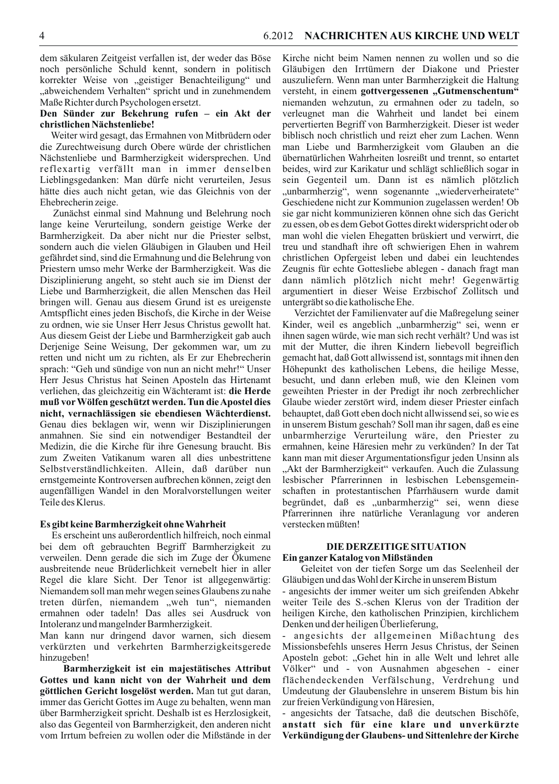dem säkularen Zeitgeist verfallen ist, der weder das Böse noch persönliche Schuld kennt, sondern in politisch korrekter Weise von "geistiger Benachteiligung" und "abweichendem Verhalten" spricht und in zunehmendem Maße Richter durch Psychologen ersetzt.

# Den Sünder zur Bekehrung rufen - ein Akt der christlichen Nächstenliebe!

Weiter wird gesagt, das Ermahnen von Mitbrüdern oder die Zurechtweisung durch Obere würde der christlichen Nächstenliebe und Barmherzigkeit widersprechen. Und reflexartig verfällt man in immer denselben Lieblingsgedanken: Man dürfe nicht verurteilen, Jesus hätte dies auch nicht getan, wie das Gleichnis von der Ehebrecherin zeige.

Zunächst einmal sind Mahnung und Belehrung noch lange keine Verurteilung, sondern geistige Werke der Barmherzigkeit. Da aber nicht nur die Priester selbst, sondern auch die vielen Gläubigen in Glauben und Heil gefährdet sind, sind die Ermahnung und die Belehrung von Priestern umso mehr Werke der Barmherzigkeit. Was die Disziplinierung angeht, so steht auch sie im Dienst der Liebe und Barmherzigkeit, die allen Menschen das Heil bringen will. Genau aus diesem Grund ist es ureigenste Amtspflicht eines jeden Bischofs, die Kirche in der Weise zu ordnen, wie sie Unser Herr Jesus Christus gewollt hat. Aus diesem Geist der Liebe und Barmherzigkeit gab auch Derjenige Seine Weisung, Der gekommen war, um zu retten und nicht um zu richten, als Er zur Ehebrecherin sprach: "Geh und sündige von nun an nicht mehr!" Unser Herr Jesus Christus hat Seinen Aposteln das Hirtenamt verliehen, das gleichzeitig ein Wächteramt ist: die Herde muß vor Wölfen geschützt werden. Tun die Apostel dies nicht, vernachlässigen sie ebendiesen Wächterdienst. Genau dies beklagen wir, wenn wir Disziplinierungen anmahnen. Sie sind ein notwendiger Bestandteil der Medizin, die die Kirche für ihre Genesung braucht. Bis zum Zweiten Vatikanum waren all dies unbestrittene Selbstverständlichkeiten. Allein, daß darüber nun ernstgemeinte Kontroversen aufbrechen können, zeigt den augenfälligen Wandel in den Moralvorstellungen weiter Teile des Klerus.

#### Es gibt keine Barmherzigkeit ohne Wahrheit

Es erscheint uns außerordentlich hilfreich, noch einmal bei dem oft gebrauchten Begriff Barmherzigkeit zu verweilen. Denn gerade die sich im Zuge der Ökumene ausbreitende neue Brüderlichkeit vernebelt hier in aller Regel die klare Sicht. Der Tenor ist allgegenwärtig: Niemandem soll man mehr wegen seines Glaubens zu nahe treten dürfen, niemandem "weh tun", niemanden ermahnen oder tadeln! Das alles sei Ausdruck von Intoleranz und mangelnder Barmherzigkeit.

Man kann nur dringend davor warnen, sich diesem verkürzten und verkehrten Barmherzigkeitsgerede hinzugeben!

Barmherzigkeit ist ein majestätisches Attribut Gottes und kann nicht von der Wahrheit und dem göttlichen Gericht losgelöst werden. Man tut gut daran, immer das Gericht Gottes im Auge zu behalten, wenn man über Barmherzigkeit spricht. Deshalb ist es Herzlosigkeit, also das Gegenteil von Barmherzigkeit, den anderen nicht vom Irrtum befreien zu wollen oder die Mißstände in der Kirche nicht beim Namen nennen zu wollen und so die Gläubigen den Irrtümern der Diakone und Priester auszuliefern. Wenn man unter Barmherzigkeit die Haltung versteht, in einem gottvergessenen "Gutmenschentum" niemanden wehzutun, zu ermahnen oder zu tadeln, so verleugnet man die Wahrheit und landet bei einem pervertierten Begriff von Barmherzigkeit. Dieser ist weder biblisch noch christlich und reizt eher zum Lachen. Wenn man Liebe und Barmherzigkeit vom Glauben an die übernatürlichen Wahrheiten losreißt und trennt, so entartet beides, wird zur Karikatur und schlägt schließlich sogar in sein Gegenteil um. Dann ist es nämlich plötzlich "unbarmherzig", wenn sogenannte "wiederverheiratete" Geschiedene nicht zur Kommunion zugelassen werden! Ob sie gar nicht kommunizieren können ohne sich das Gericht zu essen, ob es dem Gebot Gottes direkt widerspricht oder ob man wohl die vielen Ehegatten brüskiert und verwirrt, die treu und standhaft ihre oft schwierigen Ehen in wahrem christlichen Opfergeist leben und dabei ein leuchtendes Zeugnis für echte Gottesliebe ablegen - danach fragt man dann nämlich plötzlich nicht mehr! Gegenwärtig argumentiert in dieser Weise Erzbischof Zollitsch und untergräbt so die katholische Ehe.

Verzichtet der Familienvater auf die Maßregelung seiner Kinder, weil es angeblich "unbarmherzig" sei, wenn er ihnen sagen würde, wie man sich recht verhält? Und was ist mit der Mutter, die ihren Kindern liebevoll begreiflich gemacht hat, daß Gott allwissend ist, sonntags mit ihnen den Höhepunkt des katholischen Lebens, die heilige Messe, besucht, und dann erleben muß, wie den Kleinen vom geweihten Priester in der Predigt ihr noch zerbrechlicher Glaube wieder zerstört wird, indem dieser Priester einfach behauptet, daß Gott eben doch nicht allwissend sei, so wie es in unserem Bistum geschah? Soll man ihr sagen, daß es eine unbarmherzige Verurteilung wäre, den Priester zu ermahnen, keine Häresien mehr zu verkünden? In der Tat kann man mit dieser Argumentationsfigur jeden Unsinn als "Akt der Barmherzigkeit" verkaufen. Auch die Zulassung lesbischer Pfarrerinnen in lesbischen Lebensgemeinschaften in protestantischen Pfarrhäusern wurde damit begründet, daß es "unbarmherzig" sei, wenn diese Pfarrerinnen ihre natürliche Veranlagung vor anderen verstecken müßten!

# DIE DERZEITIGE SITUATION

#### Ein ganzer Katalog von Mißständen

Geleitet von der tiefen Sorge um das Seelenheil der Gläubigen und das Wohl der Kirche in unserem Bistum

- angesichts der immer weiter um sich greifenden Abkehr weiter Teile des S.-schen Klerus von der Tradition der heiligen Kirche, den katholischen Prinzipien, kirchlichem Denken und der heiligen Überlieferung,

angesichts der allgemeinen Mißachtung des Missionsbefehls unseres Herrn Jesus Christus, der Seinen Aposteln gebot: "Gehet hin in alle Welt und lehret alle Völker" und - von Ausnahmen abgesehen - einer flächendeckenden Verfälschung, Verdrehung und Umdeutung der Glaubenslehre in unserem Bistum bis hin zur freien Verkündigung von Häresien,

- angesichts der Tatsache, daß die deutschen Bischöfe, anstatt sich für eine klare und unverkürzte Verkündigung der Glaubens- und Sittenlehre der Kirche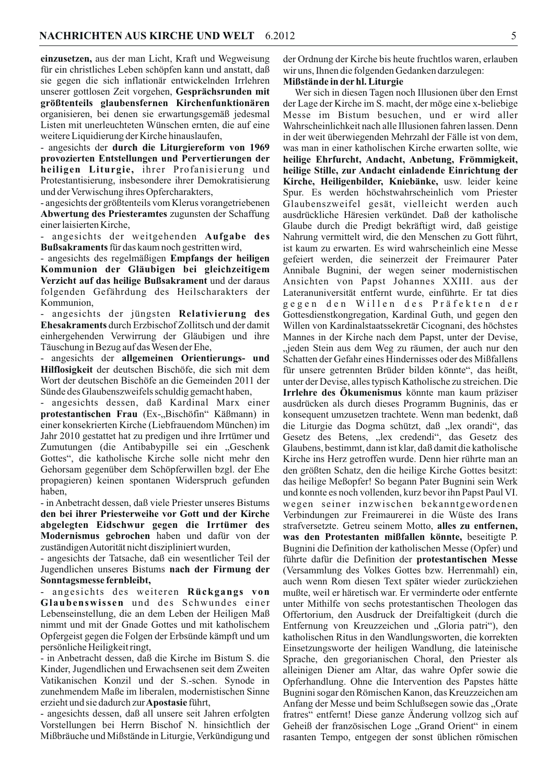einzusetzen, aus der man Licht, Kraft und Wegweisung für ein christliches Leben schöpfen kann und anstatt, daß sie gegen die sich inflationär entwickelnden Irrlehren unserer gottlosen Zeit vorgehen, Gesprächsrunden mit größtenteils glaubensfernen Kirchenfunktionären organisieren, bei denen sie erwartungsgemäß jedesmal Listen mit unerleuchteten Wünschen ernten, die auf eine weitere Liquidierung der Kirche hinauslaufen,

- angesichts der durch die Liturgiereform von 1969 provozierten Entstellungen und Pervertierungen der heiligen Liturgie, ihrer Profanisierung und Protestantisierung, insbesondere ihrer Demokratisierung und der Verwischung ihres Opfercharakters,

- angesichts der größtenteils vom Klerus vorangetriebenen Abwertung des Priesteramtes zugunsten der Schaffung einer laisierten Kirche,

angesichts der weitgehenden Aufgabe des **Bußsakraments** für das kaum noch gestritten wird,

- angesichts des regelmäßigen Empfangs der heiligen Kommunion der Gläubigen bei gleichzeitigem Verzicht auf das heilige Bußsakrament und der daraus folgenden Gefährdung des Heilscharakters der Kommunion,

- angesichts der jüngsten Relativierung des Ehesakraments durch Erzbischof Zollitsch und der damit einhergehenden Verwirrung der Gläubigen und ihre Täuschung in Bezug auf das Wesen der Ehe,

angesichts der allgemeinen Orientierungs- und Hilflosigkeit der deutschen Bischöfe, die sich mit dem Wort der deutschen Bischöfe an die Gemeinden 2011 der Sünde des Glaubenszweifels schuldig gemacht haben,

angesichts dessen, daß Kardinal Marx einer  $\overline{\phantom{a}}$ protestantischen Frau (Ex-"Bischöfin" Käßmann) in einer konsekrierten Kirche (Liebfrauendom München) im Jahr 2010 gestattet hat zu predigen und ihre Irrtümer und Zumutungen (die Antibabypille sei ein "Geschenk Gottes", die katholische Kirche solle nicht mehr den Gehorsam gegenüber dem Schöpferwillen bzgl. der Ehe propagieren) keinen spontanen Widerspruch gefunden haben.

- in Anbetracht dessen, daß viele Priester unseres Bistums den bei ihrer Priesterweihe vor Gott und der Kirche abgelegten Eidschwur gegen die Irrtümer des Modernismus gebrochen haben und dafür von der zuständigen Autorität nicht diszipliniert wurden,

- angesichts der Tatsache, daß ein wesentlicher Teil der Jugendlichen unseres Bistums nach der Firmung der Sonntagsmesse fernbleibt,

angesichts des weiteren Rückgangs von Glaubenswissen und des Schwundes einer Lebenseinstellung, die an dem Leben der Heiligen Maß nimmt und mit der Gnade Gottes und mit katholischem Opfergeist gegen die Folgen der Erbsünde kämpft und um persönliche Heiligkeit ringt,

- in Anbetracht dessen, daß die Kirche im Bistum S. die Kinder, Jugendlichen und Erwachsenen seit dem Zweiten Vatikanischen Konzil und der S.-schen. Synode in zunehmendem Maße im liberalen, modernistischen Sinne erzieht und sie dadurch zur Apostasie führt,

- angesichts dessen, daß all unsere seit Jahren erfolgten Vorstellungen bei Herrn Bischof N. hinsichtlich der Mißbräuche und Mißstände in Liturgie, Verkündigung und der Ordnung der Kirche bis heute fruchtlos waren, erlauben wir uns, Ihnen die folgenden Gedanken darzulegen:

# Mißstände in der hl. Liturgie

Wer sich in diesen Tagen noch Illusionen über den Ernst der Lage der Kirche im S. macht, der möge eine x-beliebige Messe im Bistum besuchen, und er wird aller Wahrscheinlichkeit nach alle Illusionen fahren lassen. Denn in der weit überwiegenden Mehrzahl der Fälle ist von dem, was man in einer katholischen Kirche erwarten sollte, wie heilige Ehrfurcht, Andacht, Anbetung, Frömmigkeit, heilige Stille, zur Andacht einladende Einrichtung der Kirche, Heiligenbilder, Kniebänke, usw. leider keine Spur. Es werden höchstwahrscheinlich vom Priester Glaubenszweifel gesät, vielleicht werden auch ausdrückliche Häresien verkündet. Daß der katholische Glaube durch die Predigt bekräftigt wird, daß geistige Nahrung vermittelt wird, die den Menschen zu Gott führt, ist kaum zu erwarten. Es wird wahrscheinlich eine Messe gefeiert werden, die seinerzeit der Freimaurer Pater Annibale Bugnini, der wegen seiner modernistischen Ansichten von Papst Johannes XXIII. aus der Lateranuniversität entfernt wurde, einführte. Er tat dies gegen den Willen des Präfekten der Gottesdienstkongregation, Kardinal Guth, und gegen den Willen von Kardinalstaatssekretär Cicognani, des höchstes Mannes in der Kirche nach dem Papst, unter der Devise, "jeden Stein aus dem Weg zu räumen, der auch nur den Schatten der Gefahr eines Hindernisses oder des Mißfallens für unsere getrennten Brüder bilden könnte", das heißt, unter der Devise, alles typisch Katholische zu streichen. Die Irrlehre des Ökumenismus könnte man kaum präziser ausdrücken als durch dieses Programm Bugninis, das er konsequent umzusetzen trachtete. Wenn man bedenkt, daß die Liturgie das Dogma schützt, daß "lex orandi", das Gesetz des Betens, "lex credendi", das Gesetz des Glaubens, bestimmt, dann ist klar, daß damit die katholische Kirche ins Herz getroffen wurde. Denn hier rührte man an den größten Schatz, den die heilige Kirche Gottes besitzt: das heilige Meßopfer! So begann Pater Bugnini sein Werk und konnte es noch vollenden, kurz bevor ihn Papst Paul VI. wegen seiner inzwischen bekanntgewordenen Verbindungen zur Freimaurerei in die Wüste des Irans strafversetzte. Getreu seinem Motto, alles zu entfernen, was den Protestanten mißfallen könnte, beseitigte P. Bugnini die Definition der katholischen Messe (Opfer) und führte dafür die Definition der protestantischen Messe (Versammlung des Volkes Gottes bzw. Herrenmahl) ein, auch wenn Rom diesen Text später wieder zurückziehen mußte, weil er häretisch war. Er verminderte oder entfernte unter Mithilfe von sechs protestantischen Theologen das Offertorium, den Ausdruck der Dreifaltigkeit (durch die Entfernung von Kreuzzeichen und "Gloria patri"), den katholischen Ritus in den Wandlungsworten, die korrekten Einsetzungsworte der heiligen Wandlung, die lateinische Sprache, den gregorianischen Choral, den Priester als alleinigen Diener am Altar, das wahre Opfer sowie die Opferhandlung. Ohne die Intervention des Papstes hätte Bugnini sogar den Römischen Kanon, das Kreuzzeichen am Anfang der Messe und beim Schlußsegen sowie das "Orate fratres" entfernt! Diese ganze Änderung vollzog sich auf Geheiß der französischen Loge "Grand Orient" in einem rasanten Tempo, entgegen der sonst üblichen römischen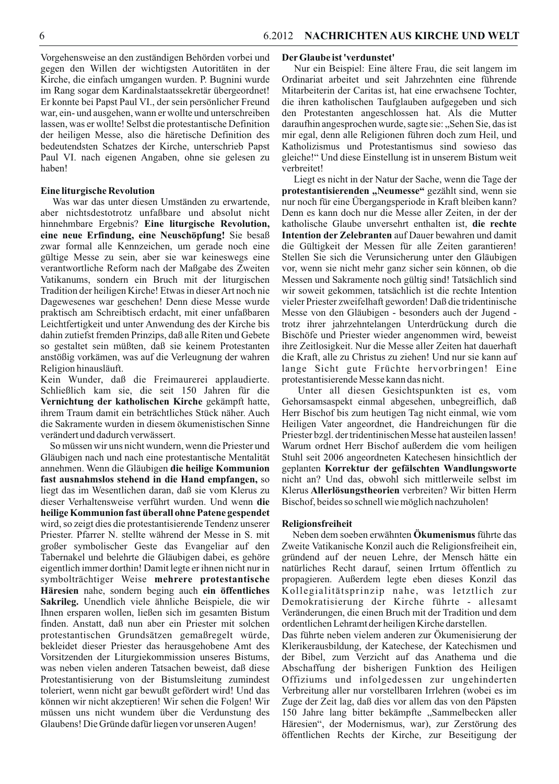Vorgehensweise an den zuständigen Behörden vorbei und gegen den Willen der wichtigsten Autoritäten in der Kirche, die einfach umgangen wurden. P. Bugnini wurde im Rang sogar dem Kardinalstaatssekretär übergeordnet! Er konnte bei Papst Paul VI., der sein persönlicher Freund war, ein- und ausgehen, wann er wollte und unterschreiben lassen, was er wollte! Selbst die protestantische Definition der heiligen Messe, also die häretische Definition des bedeutendsten Schatzes der Kirche, unterschrieb Papst Paul VI. nach eigenen Angaben, ohne sie gelesen zu haben!

# **Eine liturgische Revolution**

Was war das unter diesen Umständen zu erwartende, aber nichtsdestotrotz unfaßbare und absolut nicht hinnehmbare Ergebnis? Eine liturgische Revolution, eine neue Erfindung, eine Neuschöpfung! Sie besaß zwar formal alle Kennzeichen, um gerade noch eine gültige Messe zu sein, aber sie war keineswegs eine verantwortliche Reform nach der Maßgabe des Zweiten Vatikanums, sondern ein Bruch mit der liturgischen Tradition der heiligen Kirche! Etwas in dieser Art noch nie Dagewesenes war geschehen! Denn diese Messe wurde praktisch am Schreibtisch erdacht, mit einer unfaßbaren Leichtfertigkeit und unter Anwendung des der Kirche bis dahin zutiefst fremden Prinzips, daß alle Riten und Gebete so gestaltet sein müßten, daß sie keinem Protestanten anstößig vorkämen, was auf die Verleugnung der wahren Religion hinausläuft.

Kein Wunder, daß die Freimaurerei applaudierte. Schließlich kam sie, die seit 150 Jahren für die Vernichtung der katholischen Kirche gekämpft hatte, ihrem Traum damit ein beträchtliches Stück näher. Auch die Sakramente wurden in diesem ökumenistischen Sinne verändert und dadurch verwässert.

So müssen wir uns nicht wundern, wenn die Priester und Gläubigen nach und nach eine protestantische Mentalität annehmen. Wenn die Gläubigen die heilige Kommunion fast ausnahmslos stehend in die Hand empfangen, so liegt das im Wesentlichen daran, daß sie vom Klerus zu dieser Verhaltensweise verführt wurden. Und wenn die heilige Kommunion fast überall ohne Patene gespendet wird, so zeigt dies die protestantisierende Tendenz unserer Priester. Pfarrer N. stellte während der Messe in S. mit großer symbolischer Geste das Evangeliar auf den Tabernakel und belehrte die Gläubigen dabei, es gehöre eigentlich immer dorthin! Damit legte er ihnen nicht nur in symbolträchtiger Weise mehrere protestantische Häresien nahe, sondern beging auch ein öffentliches Sakrileg. Unendlich viele ähnliche Beispiele, die wir Ihnen ersparen wollen, ließen sich im gesamten Bistum finden. Anstatt, daß nun aber ein Priester mit solchen protestantischen Grundsätzen gemaßregelt würde, bekleidet dieser Priester das herausgehobene Amt des Vorsitzenden der Liturgiekommission unseres Bistums, was neben vielen anderen Tatsachen beweist, daß diese Protestantisierung von der Bistumsleitung zumindest toleriert, wenn nicht gar bewußt gefördert wird! Und das können wir nicht akzeptieren! Wir sehen die Folgen! Wir müssen uns nicht wundem über die Verdunstung des Glaubens! Die Gründe dafür liegen vor unseren Augen!

#### Der Glaube ist 'verdunstet'

Nur ein Beispiel: Eine ältere Frau, die seit langem im Ordinariat arbeitet und seit Jahrzehnten eine führende Mitarbeiterin der Caritas ist, hat eine erwachsene Tochter, die ihren katholischen Taufglauben aufgegeben und sich den Protestanten angeschlossen hat. Als die Mutter daraufhin angesprochen wurde, sagte sie: "Sehen Sie, das ist mir egal, denn alle Religionen führen doch zum Heil, und Katholizismus und Protestantismus sind sowieso das gleiche!" Und diese Einstellung ist in unserem Bistum weit verbreitet!

Liegt es nicht in der Natur der Sache, wenn die Tage der protestantisierenden "Neumesse" gezählt sind, wenn sie nur noch für eine Übergangsperiode in Kraft bleiben kann? Denn es kann doch nur die Messe aller Zeiten, in der der katholische Glaube unversehrt enthalten ist, die rechte **Intention der Zelebranten** auf Dauer bewahren und damit die Gültigkeit der Messen für alle Zeiten garantieren! Stellen Sie sich die Verunsicherung unter den Gläubigen vor, wenn sie nicht mehr ganz sicher sein können, ob die Messen und Sakramente noch gültig sind! Tatsächlich sind wir soweit gekommen, tatsächlich ist die rechte Intention vieler Priester zweifelhaft geworden! Daß die tridentinische Messe von den Gläubigen - besonders auch der Jugend trotz ihrer jahrzehntelangen Unterdrückung durch die Bischöfe und Priester wieder angenommen wird, beweist ihre Zeitlosigkeit. Nur die Messe aller Zeiten hat dauerhaft die Kraft, alle zu Christus zu ziehen! Und nur sie kann auf lange Sicht gute Früchte hervorbringen! Eine protestantisierende Messe kann das nicht.

Unter all diesen Gesichtspunkten ist es, vom Gehorsamsaspekt einmal abgesehen, unbegreiflich, daß Herr Bischof bis zum heutigen Tag nicht einmal, wie vom Heiligen Vater angeordnet, die Handreichungen für die Priester bzgl. der tridentinischen Messe hat austeilen lassen! Warum ordnet Herr Bischof außerdem die vom heiligen Stuhl seit 2006 angeordneten Katechesen hinsichtlich der geplanten Korrektur der gefälschten Wandlungsworte nicht an? Und das, obwohl sich mittlerweile selbst im Klerus Allerlösungstheorien verbreiten? Wir bitten Herrn Bischof, beides so schnell wie möglich nachzuholen!

#### Religionsfreiheit

Neben dem soeben erwähnten Okumenismus führte das Zweite Vatikanische Konzil auch die Religionsfreiheit ein, gründend auf der neuen Lehre, der Mensch hätte ein natürliches Recht darauf, seinen Irrtum öffentlich zu propagieren. Außerdem legte eben dieses Konzil das Kollegialitätsprinzip nahe, was letztlich zur Demokratisierung der Kirche führte - allesamt Veränderungen, die einen Bruch mit der Tradition und dem ordentlichen Lehramt der heiligen Kirche darstellen.

Das führte neben vielem anderen zur Ökumenisierung der Klerikerausbildung, der Katechese, der Katechismen und der Bibel, zum Verzicht auf das Anathema und die Abschaffung der bisherigen Funktion des Heiligen Offiziums und infolgedessen zur ungehinderten Verbreitung aller nur vorstellbaren Irrlehren (wobei es im Zuge der Zeit lag, daß dies vor allem das von den Päpsten 150 Jahre lang bitter bekämpfte "Sammelbecken aller Häresien", der Modernismus, war), zur Zerstörung des öffentlichen Rechts der Kirche, zur Beseitigung der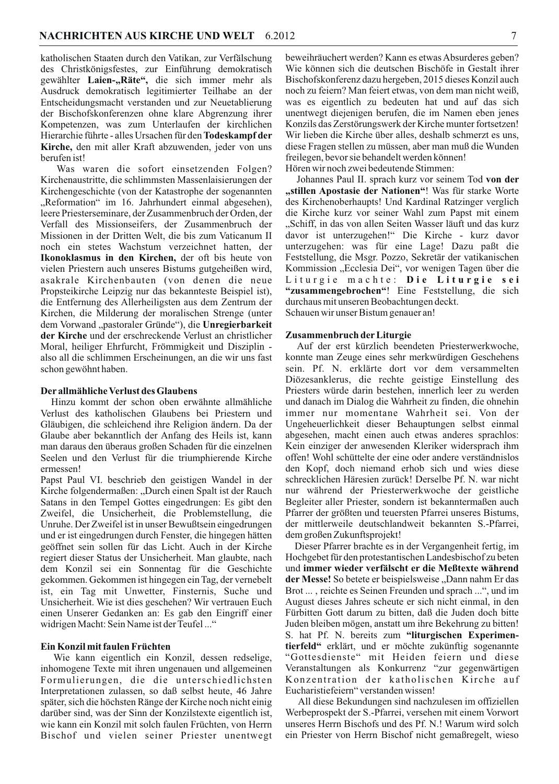katholischen Staaten durch den Vatikan, zur Verfälschung des Christkönigsfestes, zur Einführung demokratisch gewählter Laien-"Räte", die sich immer mehr als Ausdruck demokratisch legitimierter Teilhabe an der Entscheidungsmacht verstanden und zur Neuetablierung der Bischofskonferenzen ohne klare Abgrenzung ihrer Kompetenzen, was zum Unterlaufen der kirchlichen Hierarchie führte - alles Ursachen für den Todeskampf der Kirche, den mit aller Kraft abzuwenden, jeder von uns berufen ist!

Was waren die sofort einsetzenden Folgen? Kirchenaustritte, die schlimmsten Massenlaisierungen der Kirchengeschichte (von der Katastrophe der sogenannten "Reformation" im 16. Jahrhundert einmal abgesehen), leere Priesterseminare, der Zusammenbruch der Orden, der Verfall des Missionseifers, der Zusammenbruch der Missionen in der Dritten Welt, die bis zum Vaticanum II noch ein stetes Wachstum verzeichnet hatten, der Ikonoklasmus in den Kirchen, der oft bis heute von vielen Priestern auch unseres Bistums gutgeheißen wird, asakrale Kirchenbauten (von denen die neue Propsteikirche Leipzig nur das bekannteste Beispiel ist), die Entfernung des Allerheiligsten aus dem Zentrum der Kirchen, die Milderung der moralischen Strenge (unter dem Vorwand "pastoraler Gründe"), die Unregierbarkeit der Kirche und der erschreckende Verlust an christlicher Moral, heiliger Ehrfurcht, Frömmigkeit und Disziplin also all die schlimmen Erscheinungen, an die wir uns fast schon gewöhnt haben.

#### Der allmähliche Verlust des Glaubens

Hinzu kommt der schon oben erwähnte allmähliche Verlust des katholischen Glaubens bei Priestern und Gläubigen, die schleichend ihre Religion ändern. Da der Glaube aber bekanntlich der Anfang des Heils ist, kann man daraus den überaus großen Schaden für die einzelnen Seelen und den Verlust für die triumphierende Kirche ermessen!

Papst Paul VI. beschrieb den geistigen Wandel in der Kirche folgendermaßen: "Durch einen Spalt ist der Rauch Satans in den Tempel Gottes eingedrungen: Es gibt den Zweifel, die Unsicherheit, die Problemstellung, die Unruhe. Der Zweifel ist in unser Bewußtsein eingedrungen und er ist eingedrungen durch Fenster, die hingegen hätten geöffnet sein sollen für das Licht. Auch in der Kirche regiert dieser Status der Unsicherheit. Man glaubte, nach dem Konzil sei ein Sonnentag für die Geschichte gekommen. Gekommen ist hingegen ein Tag, der vernebelt ist, ein Tag mit Unwetter, Finsternis, Suche und Unsicherheit. Wie ist dies geschehen? Wir vertrauen Euch einen Unserer Gedanken an: Es gab den Eingriff einer widrigen Macht: Sein Name ist der Teufel..."

#### Ein Konzil mit faulen Früchten

Wie kann eigentlich ein Konzil, dessen redselige, inhomogene Texte mit ihren ungenauen und allgemeinen Formulierungen, die die unterschiedlichsten Interpretationen zulassen, so daß selbst heute, 46 Jahre später, sich die höchsten Ränge der Kirche noch nicht einig darüber sind, was der Sinn der Konzilstexte eigentlich ist, wie kann ein Konzil mit solch faulen Früchten, von Herrn Bischof und vielen seiner Priester unentwegt beweihräuchert werden? Kann es etwas Absurderes geben? Wie können sich die deutschen Bischöfe in Gestalt ihrer Bischofskonferenz dazu hergeben, 2015 dieses Konzil auch noch zu feiern? Man feiert etwas, von dem man nicht weiß, was es eigentlich zu bedeuten hat und auf das sich unentwegt diejenigen berufen, die im Namen eben jenes Konzils das Zerstörungswerk der Kirche munter fortsetzen! Wir lieben die Kirche über alles, deshalb schmerzt es uns, diese Fragen stellen zu müssen, aber man muß die Wunden freilegen, bevor sie behandelt werden können! Hören wir noch zwei bedeutende Stimmen:

Johannes Paul II. sprach kurz vor seinem Tod von der "stillen Apostasie der Nationen"! Was für starke Worte des Kirchenoberhaupts! Und Kardinal Ratzinger verglich die Kirche kurz vor seiner Wahl zum Papst mit einem "Schiff, in das von allen Seiten Wasser läuft und das kurz davor ist unterzugehen!" Die Kirche - kurz davor unterzugehen: was für eine Lage! Dazu paßt die Feststellung, die Msgr. Pozzo, Sekretär der vatikanischen Kommission "Ecclesia Dei", vor wenigen Tagen über die Liturgie machte: Die Liturgie sei "zusammengebrochen"! Eine Feststellung, die sich durchaus mit unseren Beobachtungen deckt. Schauen wir unser Bistum genauer an!

#### Zusammenbruch der Liturgie

Auf der erst kürzlich beendeten Priesterwerkwoche, konnte man Zeuge eines sehr merkwürdigen Geschehens sein. Pf. N. erklärte dort vor dem versammelten Diözesanklerus, die rechte geistige Einstellung des Priesters würde darin bestehen, innerlich leer zu werden und danach im Dialog die Wahrheit zu finden, die ohnehin immer nur momentane Wahrheit sei. Von der Ungeheuerlichkeit dieser Behauptungen selbst einmal abgesehen, macht einen auch etwas anderes sprachlos: Kein einziger der anwesenden Kleriker widersprach ihm offen! Wohl schüttelte der eine oder andere verständnislos den Kopf, doch niemand erhob sich und wies diese schrecklichen Häresien zurück! Derselbe Pf. N. war nicht nur während der Priesterwerkwoche der geistliche Begleiter aller Priester, sondern ist bekanntermaßen auch Pfarrer der größten und teuersten Pfarrei unseres Bistums, der mittlerweile deutschlandweit bekannten S.-Pfarrei, dem großen Zukunftsprojekt!

Dieser Pfarrer brachte es in der Vergangenheit fertig, im Hochgebet für den protestantischen Landesbischof zu beten und immer wieder verfälscht er die Meßtexte während der Messe! So betete er beispielsweise "Dann nahm Er das Brot ..., reichte es Seinen Freunden und sprach ...", und im August dieses Jahres scheute er sich nicht einmal, in den Fürbitten Gott darum zu bitten, daß die Juden doch bitte Juden bleiben mögen, anstatt um ihre Bekehrung zu bitten! S. hat Pf. N. bereits zum "liturgischen Experimentierfeld" erklärt, und er möchte zukünftig sogenannte "Gottesdienste" mit Heiden feiern und diese Veranstaltungen als Konkurrenz "zur gegenwärtigen Konzentration der katholischen Kirche auf Eucharistiefeiern" verstanden wissen!

All diese Bekundungen sind nachzulesen im offiziellen Werbeprospekt der S.-Pfarrei, versehen mit einem Vorwort unseres Herrn Bischofs und des Pf. N.! Warum wird solch ein Priester von Herrn Bischof nicht gemaßregelt, wieso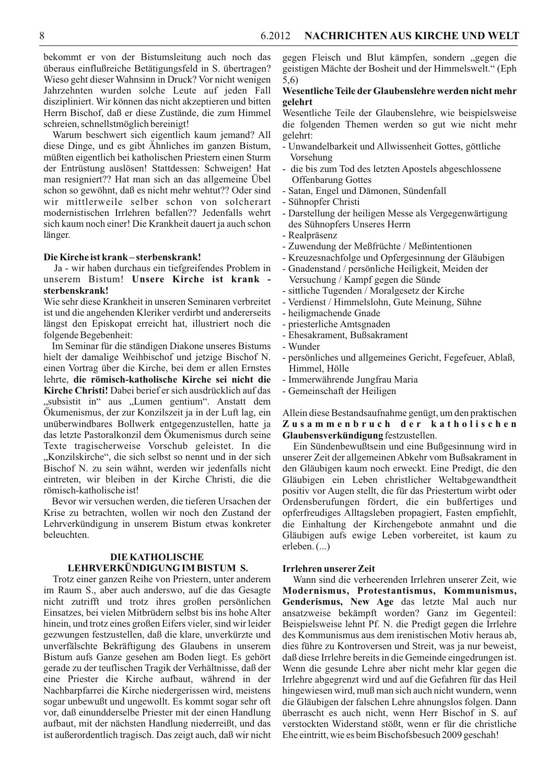bekommt er von der Bistumsleitung auch noch das überaus einflußreiche Betätigungsfeld in S. übertragen? Wieso geht dieser Wahnsinn in Druck? Vor nicht wenigen Jahrzehnten wurden solche Leute auf jeden Fall diszipliniert. Wir können das nicht akzeptieren und bitten Herrn Bischof, daß er diese Zustände, die zum Himmel schreien, schnellstmöglich bereinigt!

Warum beschwert sich eigentlich kaum jemand? All diese Dinge, und es gibt Ähnliches im ganzen Bistum, müßten eigentlich bei katholischen Priestern einen Sturm der Entrüstung auslösen! Stattdessen: Schweigen! Hat man resigniert?? Hat man sich an das allgemeine Übel schon so gewöhnt, daß es nicht mehr wehtut?? Oder sind wir mittlerweile selber schon von solcherart modernistischen Irrlehren befallen?? Jedenfalls wehrt sich kaum noch einer! Die Krankheit dauert ja auch schon länger.

#### Die Kirche ist krank-sterbenskrank!

Ja - wir haben durchaus ein tiefgreifendes Problem in unserem Bistum! Unsere Kirche ist krank sterbenskrank!

Wie sehr diese Krankheit in unseren Seminaren verbreitet ist und die angehenden Kleriker verdirbt und andererseits längst den Episkopat erreicht hat, illustriert noch die folgende Begebenheit:

Im Seminar für die ständigen Diakone unseres Bistums hielt der damalige Weihbischof und jetzige Bischof N. einen Vortrag über die Kirche, bei dem er allen Ernstes lehrte, die römisch-katholische Kirche sei nicht die Kirche Christi! Dabei berief er sich ausdrücklich auf das "subsistit in" aus "Lumen gentium". Anstatt dem Ökumenismus, der zur Konzilszeit ja in der Luft lag, ein unüberwindbares Bollwerk entgegenzustellen, hatte ja das letzte Pastoralkonzil dem Ökumenismus durch seine Texte tragischerweise Vorschub geleistet. In die "Konzilskirche", die sich selbst so nennt und in der sich Bischof N. zu sein wähnt, werden wir jedenfalls nicht eintreten, wir bleiben in der Kirche Christi, die die römisch-katholische ist!

Bevor wir versuchen werden, die tieferen Ursachen der Krise zu betrachten, wollen wir noch den Zustand der Lehrverkündigung in unserem Bistum etwas konkreter beleuchten.

# **DIE KATHOLISCHE** LEHRVERKÜNDIGUNG IM BISTUM S.

Trotz einer ganzen Reihe von Priestern, unter anderem im Raum S., aber auch anderswo, auf die das Gesagte nicht zutrifft und trotz ihres großen persönlichen Einsatzes, bei vielen Mitbrüdern selbst bis ins hohe Alter hinein, und trotz eines großen Eifers vieler, sind wir leider gezwungen festzustellen, daß die klare, unverkürzte und unverfälschte Bekräftigung des Glaubens in unserem Bistum aufs Ganze gesehen am Boden liegt. Es gehört gerade zu der teuflischen Tragik der Verhältnisse, daß der eine Priester die Kirche aufbaut, während in der Nachbarpfarrei die Kirche niedergerissen wird, meistens sogar unbewußt und ungewollt. Es kommt sogar sehr oft vor, daß einundderselbe Priester mit der einen Handlung aufbaut, mit der nächsten Handlung niederreißt, und das ist außerordentlich tragisch. Das zeigt auch, daß wir nicht

gegen Fleisch und Blut kämpfen, sondern "gegen die geistigen Mächte der Bosheit und der Himmelswelt." (Eph  $5,6)$ 

#### Wesentliche Teile der Glaubenslehre werden nicht mehr gelehrt

Wesentliche Teile der Glaubenslehre, wie beispielsweise die folgenden Themen werden so gut wie nicht mehr gelehrt:

- Unwandelbarkeit und Allwissenheit Gottes, göttliche Vorsehung
- $\overline{\phantom{a}}$ die bis zum Tod des letzten Apostels abgeschlossene **Offenbarung Gottes**
- Satan, Engel und Dämonen, Sündenfall
- Sühnopfer Christi
- Darstellung der heiligen Messe als Vergegenwärtigung des Sühnopfers Unseres Herrn
- Realpräsenz
- Zuwendung der Meßfrüchte / Meßintentionen
- Kreuzesnachfolge und Opfergesinnung der Gläubigen
- Gnadenstand / persönliche Heiligkeit, Meiden der Versuchung / Kampf gegen die Sünde
- sittliche Tugenden / Moralgesetz der Kirche
- Verdienst / Himmelslohn, Gute Meinung, Sühne
- heiligmachende Gnade
- priesterliche Amtsgnaden
- Ehesakrament, Bußsakrament
- Wunder
- persönliches und allgemeines Gericht, Fegefeuer, Ablaß, Himmel, Hölle
- Immerwährende Jungfrau Maria
- Gemeinschaft der Heiligen

# Allein diese Bestandsaufnahme genügt, um den praktischen Zusammenbruch der katholischen Glaubensverkündigung festzustellen.

Ein Sündenbewußtsein und eine Bußgesinnung wird in unserer Zeit der allgemeinen Abkehr vom Bußsakrament in den Gläubigen kaum noch erweckt. Eine Predigt, die den Gläubigen ein Leben christlicher Weltabgewandtheit positiv vor Augen stellt, die für das Priestertum wirbt oder Ordensberufungen fördert, die ein bußfertiges und opferfreudiges Alltagsleben propagiert, Fasten empfiehlt, die Einhaltung der Kirchengebote anmahnt und die Gläubigen aufs ewige Leben vorbereitet, ist kaum zu erleben. (...)

#### Irrlehren unserer Zeit

Wann sind die verheerenden Irrlehren unserer Zeit, wie Modernismus, Protestantismus, Kommunismus, Genderismus, New Age das letzte Mal auch nur ansatzweise bekämpft worden? Ganz im Gegenteil: Beispielsweise lehnt Pf. N. die Predigt gegen die Irrlehre des Kommunismus aus dem irenistischen Motiv heraus ab, dies führe zu Kontroversen und Streit, was ja nur beweist, daß diese Irrlehre bereits in die Gemeinde eingedrungen ist. Wenn die gesunde Lehre aber nicht mehr klar gegen die Irrlehre abgegrenzt wird und auf die Gefahren für das Heil hingewiesen wird, muß man sich auch nicht wundern, wenn die Gläubigen der falschen Lehre ahnungslos folgen. Dann überrascht es auch nicht, wenn Herr Bischof in S. auf verstockten Widerstand stößt, wenn er für die christliche Ehe eintritt, wie es beim Bischofsbesuch 2009 geschah!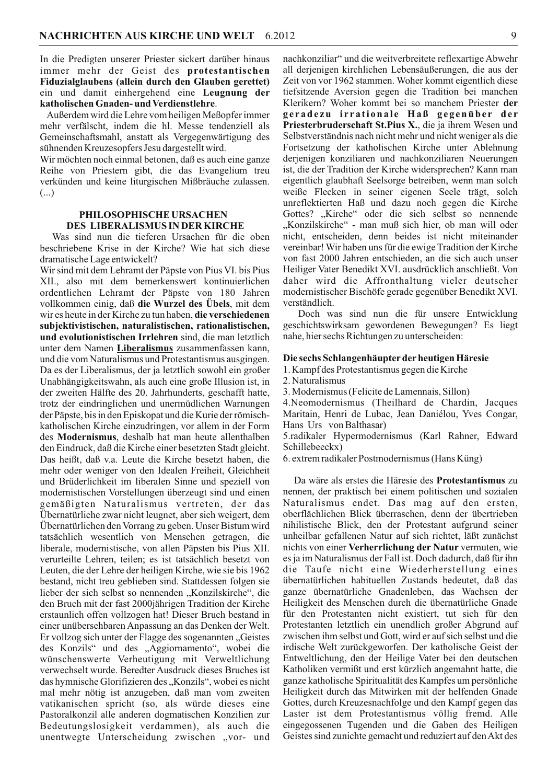In die Predigten unserer Priester sickert darüber hinaus immer mehr der Geist des protestantischen Fiduzialglaubens (allein durch den Glauben gerettet) ein und damit einhergehend eine Leugnung der katholischen Gnaden- und Verdienstlehre.

Außerdem wird die Lehre vom heiligen Meßopfer immer mehr verfälscht, indem die hl. Messe tendenziell als Gemeinschaftsmahl, anstatt als Vergegenwärtigung des sühnenden Kreuzesopfers Jesu dargestellt wird.

Wir möchten noch einmal betonen, daß es auch eine ganze Reihe von Priestern gibt, die das Evangelium treu verkünden und keine liturgischen Mißbräuche zulassen.  $(...)$ 

# PHILOSOPHISCHE URSACHEN DES LIBERALISMUS IN DER KIRCHE

Was sind nun die tieferen Ursachen für die oben beschriebene Krise in der Kirche? Wie hat sich diese dramatische Lage entwickelt?

Wir sind mit dem Lehramt der Päpste von Pius VI. bis Pius XII., also mit dem bemerkenswert kontinuierlichen ordentlichen Lehramt der Päpste von 180 Jahren vollkommen einig, daß die Wurzel des Übels, mit dem wir es heute in der Kirche zu tun haben, die verschiedenen subjektivistischen, naturalistischen, rationalistischen, und evolutionistischen Irrlehren sind, die man letztlich unter dem Namen Liberalismus zusammenfassen kann, und die vom Naturalismus und Protestantismus ausgingen. Da es der Liberalismus, der ja letztlich sowohl ein großer Unabhängigkeitswahn, als auch eine große Illusion ist, in der zweiten Hälfte des 20. Jahrhunderts, geschafft hatte, trotz der eindringlichen und unermüdlichen Warnungen der Päpste, bis in den Episkopat und die Kurie der römischkatholischen Kirche einzudringen, vor allem in der Form des Modernismus, deshalb hat man heute allenthalben den Eindruck, daß die Kirche einer besetzten Stadt gleicht. Das heißt, daß v.a. Leute die Kirche besetzt haben, die mehr oder weniger von den Idealen Freiheit, Gleichheit und Brüderlichkeit im liberalen Sinne und speziell von modernistischen Vorstellungen überzeugt sind und einen gemäßigten Naturalismus vertreten, der das Übernatürliche zwar nicht leugnet, aber sich weigert, dem Übernatürlichen den Vorrang zu geben. Unser Bistum wird tatsächlich wesentlich von Menschen getragen, die liberale, modernistische, von allen Päpsten bis Pius XII. verurteilte Lehren, teilen; es ist tatsächlich besetzt von Leuten, die der Lehre der heiligen Kirche, wie sie bis 1962 bestand, nicht treu geblieben sind. Stattdessen folgen sie lieber der sich selbst so nennenden "Konzilskirche", die den Bruch mit der fast 2000jährigen Tradition der Kirche erstaunlich offen vollzogen hat! Dieser Bruch bestand in einer unübersehbaren Anpassung an das Denken der Welt. Er vollzog sich unter der Flagge des sogenannten "Geistes des Konzils" und des "Aggiornamento", wobei die wünschenswerte Verheutigung mit Verweltlichung verwechselt wurde. Beredter Ausdruck dieses Bruches ist das hymnische Glorifizieren des "Konzils", wobei es nicht mal mehr nötig ist anzugeben, daß man vom zweiten vatikanischen spricht (so, als würde dieses eine Pastoralkonzil alle anderen dogmatischen Konzilien zur Bedeutungslosigkeit verdammen), als auch die unentwegte Unterscheidung zwischen "vor- und

nachkonziliar" und die weitverbreitete reflexartige Abwehr all derjenigen kirchlichen Lebensäußerungen, die aus der Zeit von vor 1962 stammen. Woher kommt eigentlich diese tiefsitzende Aversion gegen die Tradition bei manchen Klerikern? Woher kommt bei so manchem Priester der geradezu irrationale Haß gegenüber der Priesterbruderschaft St.Pius X., die ja ihrem Wesen und Selbstverständnis nach nicht mehr und nicht weniger als die Fortsetzung der katholischen Kirche unter Ablehnung derjenigen konziliaren und nachkonziliaren Neuerungen ist, die der Tradition der Kirche widersprechen? Kann man eigentlich glaubhaft Seelsorge betreiben, wenn man solch weiße Flecken in seiner eigenen Seele trägt, solch unreflektierten Haß und dazu noch gegen die Kirche Gottes? "Kirche" oder die sich selbst so nennende "Konzilskirche" - man muß sich hier, ob man will oder nicht, entscheiden, denn beides ist nicht miteinander vereinbar! Wir haben uns für die ewige Tradition der Kirche von fast 2000 Jahren entschieden, an die sich auch unser Heiliger Vater Benedikt XVI. ausdrücklich anschließt. Von daher wird die Affronthaltung vieler deutscher modernistischer Bischöfe gerade gegenüber Benedikt XVI. verständlich.

Doch was sind nun die für unsere Entwicklung geschichtswirksam gewordenen Bewegungen? Es liegt nahe, hier sechs Richtungen zu unterscheiden:

#### Die sechs Schlangenhäupter der heutigen Häresie

1. Kampf des Protestantismus gegen die Kirche

- 2. Naturalismus
- 3. Modernismus (Felicite de Lamennais, Sillon)

4. Neomodernismus (Theilhard de Chardin, Jacques Maritain, Henri de Lubac, Jean Daniélou, Yves Congar, Hans Urs von Balthasar)

5.radikaler Hypermodernismus (Karl Rahner, Edward Schillebeeckx)

6. extrem radikaler Postmodernismus (Hans Küng)

Da wäre als erstes die Häresie des Protestantismus zu nennen, der praktisch bei einem politischen und sozialen Naturalismus endet. Das mag auf den ersten, oberflächlichen Blick überraschen, denn der übertrieben nihilistische Blick, den der Protestant aufgrund seiner unheilbar gefallenen Natur auf sich richtet, läßt zunächst nichts von einer Verherrlichung der Natur vermuten, wie es ja im Naturalismus der Fall ist. Doch dadurch, daß für ihn die Taufe nicht eine Wiederherstellung eines übernatürlichen habituellen Zustands bedeutet, daß das ganze übernatürliche Gnadenleben, das Wachsen der Heiligkeit des Menschen durch die übernatürliche Gnade für den Protestanten nicht existiert, tut sich für den Protestanten letztlich ein unendlich großer Abgrund auf zwischen ihm selbst und Gott, wird er auf sich selbst und die irdische Welt zurückgeworfen. Der katholische Geist der Entweltlichung, den der Heilige Vater bei den deutschen Katholiken vermißt und erst kürzlich angemahnt hatte, die ganze katholische Spiritualität des Kampfes um persönliche Heiligkeit durch das Mitwirken mit der helfenden Gnade Gottes, durch Kreuzesnachfolge und den Kampf gegen das Laster ist dem Protestantismus völlig fremd. Alle eingegossenen Tugenden und die Gaben des Heiligen Geistes sind zunichte gemacht und reduziert auf den Akt des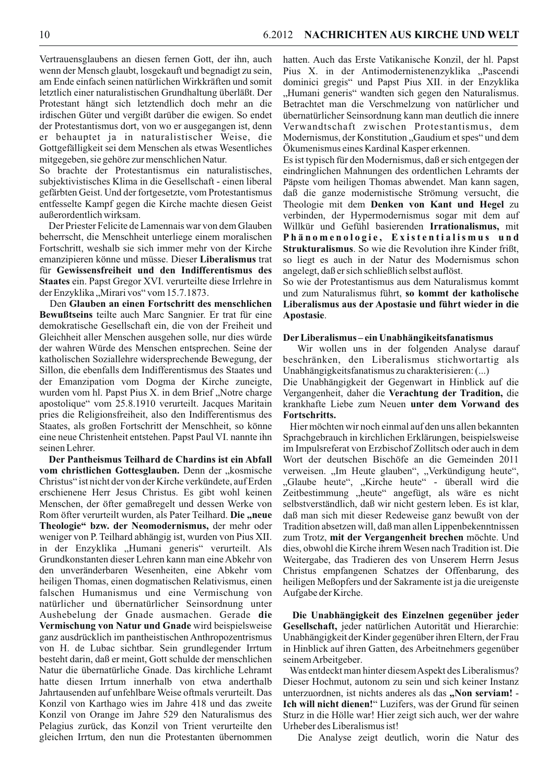Vertrauensglaubens an diesen fernen Gott, der ihn, auch wenn der Mensch glaubt, losgekauft und begnadigt zu sein, am Ende einfach seinen natürlichen Wirkkräften und somit letztlich einer naturalistischen Grundhaltung überläßt. Der Protestant hängt sich letztendlich doch mehr an die irdischen Güter und vergißt darüber die ewigen. So endet der Protestantismus dort, von wo er ausgegangen ist, denn er behauptet ja in naturalistischer Weise, die Gottgefälligkeit sei dem Menschen als etwas Wesentliches mitgegeben, sie gehöre zur menschlichen Natur.

So brachte der Protestantismus ein naturalistisches, subjektivistisches Klima in die Gesellschaft - einen liberal gefärbten Geist. Und der fortgesetzte, vom Protestantismus entfesselte Kampf gegen die Kirche machte diesen Geist außerordentlich wirksam.

Der Priester Felicite de Lamennais war von dem Glauben beherrscht, die Menschheit unterliege einem moralischen Fortschritt, weshalb sie sich immer mehr von der Kirche emanzipieren könne und müsse. Dieser Liberalismus trat für Gewissensfreiheit und den Indifferentismus des **Staates** ein. Papst Gregor XVI. verurteilte diese Irrlehre in der Enzyklika "Mirari vos" vom 15.7.1873.

Den Glauben an einen Fortschritt des menschlichen Bewußtseins teilte auch Marc Sangnier. Er trat für eine demokratische Gesellschaft ein, die von der Freiheit und Gleichheit aller Menschen ausgehen solle, nur dies würde der wahren Würde des Menschen entsprechen. Seine der katholischen Soziallehre widersprechende Bewegung, der Sillon, die ebenfalls dem Indifferentismus des Staates und der Emanzipation vom Dogma der Kirche zuneigte, wurden vom hl. Papst Pius X. in dem Brief "Notre charge apostolique" vom 25.8.1910 verurteilt. Jacques Maritain pries die Religionsfreiheit, also den Indifferentismus des Staates, als großen Fortschritt der Menschheit, so könne eine neue Christenheit entstehen. Papst Paul VI. nannte ihn seinen Lehrer.

Der Pantheismus Teilhard de Chardins ist ein Abfall vom christlichen Gottesglauben. Denn der "kosmische Christus" ist nicht der von der Kirche verkündete, auf Erden erschienene Herr Jesus Christus. Es gibt wohl keinen Menschen, der öfter gemaßregelt und dessen Werke von Rom öfter verurteilt wurden, als Pater Teilhard. Die "neue Theologie" bzw. der Neomodernismus, der mehr oder weniger von P. Teilhard abhängig ist, wurden von Pius XII. in der Enzyklika "Humani generis" verurteilt. Als Grundkonstanten dieser Lehren kann man eine Abkehr von den unveränderbaren Wesenheiten, eine Abkehr vom heiligen Thomas, einen dogmatischen Relativismus, einen falschen Humanismus und eine Vermischung von natürlicher und übernatürlicher Seinsordnung unter Aushebelung der Gnade ausmachen. Gerade die Vermischung von Natur und Gnade wird beispielsweise ganz ausdrücklich im pantheistischen Anthropozentrismus von H. de Lubac sichtbar. Sein grundlegender Irrtum besteht darin, daß er meint, Gott schulde der menschlichen Natur die übernatürliche Gnade. Das kirchliche Lehramt hatte diesen Irrtum innerhalb von etwa anderthalb Jahrtausenden auf unfehlbare Weise oftmals verurteilt. Das Konzil von Karthago wies im Jahre 418 und das zweite Konzil von Orange im Jahre 529 den Naturalismus des Pelagius zurück, das Konzil von Trient verurteilte den gleichen Irrtum, den nun die Protestanten übernommen

hatten. Auch das Erste Vatikanische Konzil, der hl. Papst Pius X. in der Antimodernistenenzyklika "Pascendi dominici gregis" und Papst Pius XII. in der Enzyklika "Humani generis" wandten sich gegen den Naturalismus. Betrachtet man die Verschmelzung von natürlicher und übernatürlicher Seinsordnung kann man deutlich die innere Verwandtschaft zwischen Protestantismus, dem Modernismus, der Konstitution, Gaudium et spes" und dem Ökumenismus eines Kardinal Kasper erkennen.

Es ist typisch für den Modernismus, daß er sich entgegen der eindringlichen Mahnungen des ordentlichen Lehramts der Päpste vom heiligen Thomas abwendet. Man kann sagen, daß die ganze modernistische Strömung versucht, die Theologie mit dem Denken von Kant und Hegel zu verbinden, der Hypermodernismus sogar mit dem auf Willkür und Gefühl basierenden Irrationalismus, mit Phänomenologie, Existentialismus und Strukturalismus. So wie die Revolution ihre Kinder frißt, so liegt es auch in der Natur des Modernismus schon angelegt, daß er sich schließlich selbst auflöst.

So wie der Protestantismus aus dem Naturalismus kommt und zum Naturalismus führt, so kommt der katholische Liberalismus aus der Apostasie und führt wieder in die Apostasie.

#### Der Liberalismus-ein Unabhängikeitsfanatismus

Wir wollen uns in der folgenden Analyse darauf beschränken, den Liberalismus stichwortartig als Unabhängigkeitsfanatismus zu charakterisieren: (...)

Die Unabhängigkeit der Gegenwart in Hinblick auf die Vergangenheit, daher die Verachtung der Tradition, die krankhafte Liebe zum Neuen unter dem Vorwand des Fortschritts.

Hier möchten wir noch einmal auf den uns allen bekannten Sprachgebrauch in kirchlichen Erklärungen, beispielsweise im Impulsreferat von Erzbischof Zollitsch oder auch in dem Wort der deutschen Bischöfe an die Gemeinden 2011 verweisen. "Im Heute glauben", "Verkündigung heute", "Glaube heute", "Kirche heute" - überall wird die Zeitbestimmung "heute" angefügt, als wäre es nicht selbstverständlich, daß wir nicht gestern leben. Es ist klar, daß man sich mit dieser Redeweise ganz bewußt von der Tradition absetzen will, daß man allen Lippenbekenntnissen zum Trotz, mit der Vergangenheit brechen möchte. Und dies, obwohl die Kirche ihrem Wesen nach Tradition ist. Die Weitergabe, das Tradieren des von Unserem Herrn Jesus Christus empfangenen Schatzes der Offenbarung, des heiligen Meßopfers und der Sakramente ist ja die ureigenste Aufgabe der Kirche.

Die Unabhängigkeit des Einzelnen gegenüber jeder Gesellschaft, jeder natürlichen Autorität und Hierarchie: Unabhängigkeit der Kinder gegenüber ihren Eltern, der Frau in Hinblick auf ihren Gatten, des Arbeitnehmers gegenüber seinem Arbeitgeber.

Was entdeckt man hinter diesem Aspekt des Liberalismus? Dieser Hochmut, autonom zu sein und sich keiner Instanz unterzuordnen, ist nichts anderes als das "Non serviam! -Ich will nicht dienen!" Luzifers, was der Grund für seinen Sturz in die Hölle war! Hier zeigt sich auch, wer der wahre Urheber des Liberalismus ist!

Die Analyse zeigt deutlich, worin die Natur des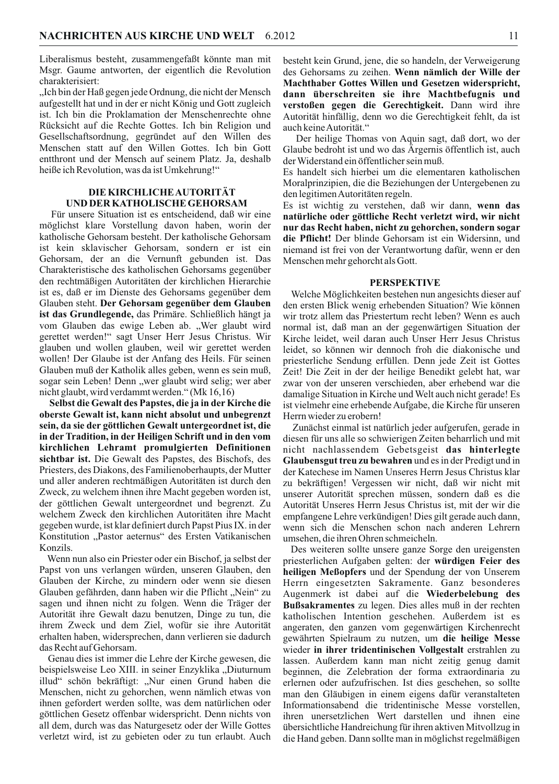Liberalismus besteht, zusammengefaßt könnte man mit Msgr. Gaume antworten, der eigentlich die Revolution charakterisiert:

"Ich bin der Haß gegen jede Ordnung, die nicht der Mensch aufgestellt hat und in der er nicht König und Gott zugleich ist. Ich bin die Proklamation der Menschenrechte ohne Rücksicht auf die Rechte Gottes. Ich bin Religion und Gesellschaftsordnung, gegründet auf den Willen des Menschen statt auf den Willen Gottes. Ich bin Gott entthront und der Mensch auf seinem Platz. Ja, deshalb heiße ich Revolution, was da ist Umkehrung!"

# DIE KIRCHLICHE AUTORITÄT UND DER KATHOLISCHE GEHORSAM

Für unsere Situation ist es entscheidend, daß wir eine möglichst klare Vorstellung davon haben, worin der katholische Gehorsam besteht. Der katholische Gehorsam ist kein sklavischer Gehorsam, sondern er ist ein Gehorsam, der an die Vernunft gebunden ist. Das Charakteristische des katholischen Gehorsams gegenüber den rechtmäßigen Autoritäten der kirchlichen Hierarchie ist es, daß er im Dienste des Gehorsams gegenüber dem Glauben steht. Der Gehorsam gegenüber dem Glauben ist das Grundlegende, das Primäre. Schließlich hängt ja vom Glauben das ewige Leben ab. "Wer glaubt wird gerettet werden!" sagt Unser Herr Jesus Christus. Wir glauben und wollen glauben, weil wir gerettet werden wollen! Der Glaube ist der Anfang des Heils. Für seinen Glauben muß der Katholik alles geben, wenn es sein muß, sogar sein Leben! Denn "wer glaubt wird selig; wer aber nicht glaubt, wird verdammt werden." (Mk 16,16)

Selbst die Gewalt des Papstes, die ja in der Kirche die oberste Gewalt ist, kann nicht absolut und unbegrenzt sein, da sie der göttlichen Gewalt untergeordnet ist, die in der Tradition, in der Heiligen Schrift und in den vom kirchlichen Lehramt promulgierten Definitionen sichtbar ist. Die Gewalt des Papstes, des Bischofs, des Priesters, des Diakons, des Familienoberhaupts, der Mutter und aller anderen rechtmäßigen Autoritäten ist durch den Zweck, zu welchem ihnen ihre Macht gegeben worden ist, der göttlichen Gewalt untergeordnet und begrenzt. Zu welchem Zweck den kirchlichen Autoritäten ihre Macht gegeben wurde, ist klar definiert durch Papst Pius IX. in der Konstitution "Pastor aeternus" des Ersten Vatikanischen Konzils.

Wenn nun also ein Priester oder ein Bischof, ja selbst der Papst von uns verlangen würden, unseren Glauben, den Glauben der Kirche, zu mindern oder wenn sie diesen Glauben gefährden, dann haben wir die Pflicht "Nein" zu sagen und ihnen nicht zu folgen. Wenn die Träger der Autorität ihre Gewalt dazu benutzen, Dinge zu tun, die ihrem Zweck und dem Ziel, wofür sie ihre Autorität erhalten haben, widersprechen, dann verlieren sie dadurch das Recht auf Gehorsam.

Genau dies ist immer die Lehre der Kirche gewesen, die beispielsweise Leo XIII. in seiner Enzyklika "Diuturnum illud" schön bekräftigt: "Nur einen Grund haben die Menschen, nicht zu gehorchen, wenn nämlich etwas von ihnen gefordert werden sollte, was dem natürlichen oder göttlichen Gesetz offenbar widerspricht. Denn nichts von all dem, durch was das Naturgesetz oder der Wille Gottes verletzt wird, ist zu gebieten oder zu tun erlaubt. Auch besteht kein Grund, jene, die so handeln, der Verweigerung des Gehorsams zu zeihen. Wenn nämlich der Wille der Machthaber Gottes Willen und Gesetzen widerspricht, dann überschreiten sie ihre Machtbefugnis und verstoßen gegen die Gerechtigkeit. Dann wird ihre Autorität hinfällig, denn wo die Gerechtigkeit fehlt, da ist auch keine Autorität."

Der heilige Thomas von Aquin sagt, daß dort, wo der Glaube bedroht ist und wo das Ärgernis öffentlich ist, auch der Widerstand ein öffentlicher sein muß.

Es handelt sich hierbei um die elementaren katholischen Moralprinzipien, die die Beziehungen der Untergebenen zu den legitimen Autoritäten regeln.

Es ist wichtig zu verstehen, daß wir dann, wenn das natürliche oder göttliche Recht verletzt wird, wir nicht nur das Recht haben, nicht zu gehorchen, sondern sogar die Pflicht! Der blinde Gehorsam ist ein Widersinn, und niemand ist frei von der Verantwortung dafür, wenn er den Menschen mehr gehorcht als Gott.

#### **PERSPEKTIVE**

Welche Möglichkeiten bestehen nun angesichts dieser auf den ersten Blick wenig erhebenden Situation? Wie können wir trotz allem das Priestertum recht leben? Wenn es auch normal ist, daß man an der gegenwärtigen Situation der Kirche leidet, weil daran auch Unser Herr Jesus Christus leidet, so können wir dennoch froh die diakonische und priesterliche Sendung erfüllen. Denn jede Zeit ist Gottes Zeit! Die Zeit in der der heilige Benedikt gelebt hat, war zwar von der unseren verschieden, aber erhebend war die damalige Situation in Kirche und Welt auch nicht gerade! Es ist vielmehr eine erhebende Aufgabe, die Kirche für unseren Herrn wieder zu erobern!

Zunächst einmal ist natürlich jeder aufgerufen, gerade in diesen für uns alle so schwierigen Zeiten beharrlich und mit nicht nachlassendem Gebetsgeist das hinterlegte Glaubens gut treu zu bewahren und es in der Predigt und in der Katechese im Namen Unseres Herrn Jesus Christus klar zu bekräftigen! Vergessen wir nicht, daß wir nicht mit unserer Autorität sprechen müssen, sondern daß es die Autorität Unseres Herrn Jesus Christus ist, mit der wir die empfangene Lehre verkündigen! Dies gilt gerade auch dann, wenn sich die Menschen schon nach anderen Lehrern umsehen, die ihren Ohren schmeicheln.

Des weiteren sollte unsere ganze Sorge den ureigensten priesterlichen Aufgaben gelten: der würdigen Feier des heiligen Meßopfers und der Spendung der von Unserem Herrn eingesetzten Sakramente. Ganz besonderes Augenmerk ist dabei auf die Wiederbelebung des Bußsakramentes zu legen. Dies alles muß in der rechten katholischen Intention geschehen. Außerdem ist es angeraten, den ganzen vom gegenwärtigen Kirchenrecht gewährten Spielraum zu nutzen, um die heilige Messe wieder in ihrer tridentinischen Vollgestalt erstrahlen zu lassen. Außerdem kann man nicht zeitig genug damit beginnen, die Zelebration der forma extraordinaria zu erlernen oder aufzufrischen. Ist dies geschehen, so sollte man den Gläubigen in einem eigens dafür veranstalteten Informationsabend die tridentinische Messe vorstellen, ihren unersetzlichen Wert darstellen und ihnen eine übersichtliche Handreichung für ihren aktiven Mitvollzug in die Hand geben. Dann sollte man in möglichst regelmäßigen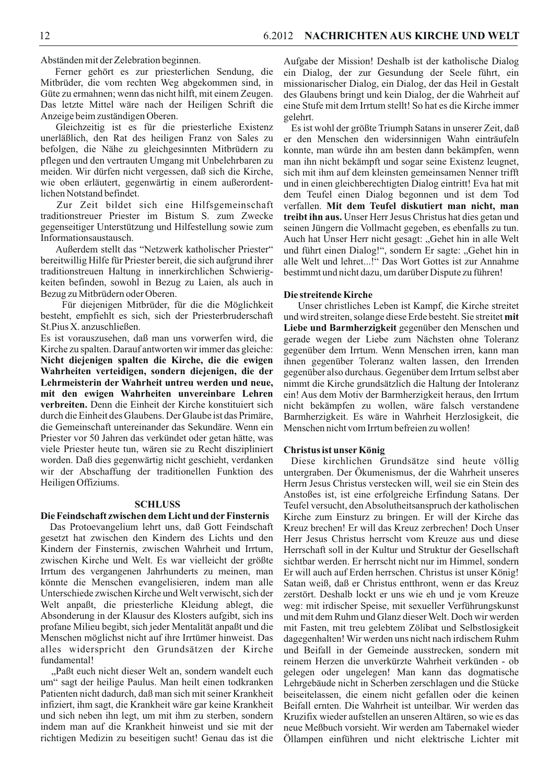Abständen mit der Zelebration beginnen.

Ferner gehört es zur priesterlichen Sendung, die Mitbrüder, die vom rechten Weg abgekommen sind, in Güte zu ermahnen; wenn das nicht hilft, mit einem Zeugen. Das letzte Mittel wäre nach der Heiligen Schrift die Anzeige beim zuständigen Oberen.

Gleichzeitig ist es für die priesterliche Existenz unerläßlich, den Rat des heiligen Franz von Sales zu befolgen, die Nähe zu gleichgesinnten Mitbrüdern zu pflegen und den vertrauten Umgang mit Unbelehrbaren zu meiden. Wir dürfen nicht vergessen, daß sich die Kirche, wie oben erläutert, gegenwärtig in einem außerordentlichen Notstand befindet.

Zur Zeit bildet sich eine Hilfsgemeinschaft traditionstreuer Priester im Bistum S. zum Zwecke gegenseitiger Unterstützung und Hilfestellung sowie zum Informationsaustausch.

Außerdem stellt das "Netzwerk katholischer Priester" bereitwillig Hilfe für Priester bereit, die sich aufgrund ihrer traditionstreuen Haltung in innerkirchlichen Schwierigkeiten befinden, sowohl in Bezug zu Laien, als auch in Bezug zu Mitbrüdern oder Oberen.

Für diejenigen Mitbrüder, für die die Möglichkeit besteht, empfiehlt es sich, sich der Priesterbruderschaft St. Pius X. anzuschließen.

Es ist vorauszusehen, daß man uns vorwerfen wird, die Kirche zu spalten. Darauf antworten wir immer das gleiche: Nicht diejenigen spalten die Kirche, die die ewigen Wahrheiten verteidigen, sondern diejenigen, die der Lehrmeisterin der Wahrheit untreu werden und neue, mit den ewigen Wahrheiten unvereinbare Lehren verbreiten. Denn die Einheit der Kirche konstituiert sich durch die Einheit des Glaubens. Der Glaube ist das Primäre. die Gemeinschaft untereinander das Sekundäre. Wenn ein Priester vor 50 Jahren das verkündet oder getan hätte, was viele Priester heute tun, wären sie zu Recht diszipliniert worden. Daß dies gegenwärtig nicht geschieht, verdanken wir der Abschaffung der traditionellen Funktion des Heiligen Offiziums.

#### **SCHLUSS**

# Die Feindschaft zwischen dem Licht und der Finsternis

Das Protoevangelium lehrt uns, daß Gott Feindschaft gesetzt hat zwischen den Kindern des Lichts und den Kindern der Finsternis, zwischen Wahrheit und Irrtum, zwischen Kirche und Welt. Es war vielleicht der größte Irrtum des vergangenen Jahrhunderts zu meinen, man könnte die Menschen evangelisieren, indem man alle Unterschiede zwischen Kirche und Welt verwischt, sich der Welt anpaßt, die priesterliche Kleidung ablegt, die Absonderung in der Klausur des Klosters aufgibt, sich ins profane Milieu begibt, sich jeder Mentalität anpaßt und die Menschen möglichst nicht auf ihre Irrtümer hinweist. Das alles widerspricht den Grundsätzen der Kirche fundamental!

"Paßt euch nicht dieser Welt an, sondern wandelt euch um" sagt der heilige Paulus. Man heilt einen todkranken Patienten nicht dadurch, daß man sich mit seiner Krankheit infiziert, ihm sagt, die Krankheit wäre gar keine Krankheit und sich neben ihn legt, um mit ihm zu sterben, sondern indem man auf die Krankheit hinweist und sie mit der richtigen Medizin zu beseitigen sucht! Genau das ist die

Aufgabe der Mission! Deshalb ist der katholische Dialog ein Dialog, der zur Gesundung der Seele führt, ein missionarischer Dialog, ein Dialog, der das Heil in Gestalt des Glaubens bringt und kein Dialog, der die Wahrheit auf eine Stufe mit dem Irrtum stellt! So hat es die Kirche immer gelehrt.

Es ist wohl der größte Triumph Satans in unserer Zeit, daß er den Menschen den widersinnigen Wahn einträufeln konnte, man würde ihn am besten dann bekämpfen, wenn man ihn nicht bekämpft und sogar seine Existenz leugnet, sich mit ihm auf dem kleinsten gemeinsamen Nenner trifft und in einen gleichberechtigten Dialog eintritt! Eva hat mit dem Teufel einen Dialog begonnen und ist dem Tod verfallen. Mit dem Teufel diskutiert man nicht, man treibt ihn aus. Unser Herr Jesus Christus hat dies getan und seinen Jüngern die Vollmacht gegeben, es ebenfalls zu tun. Auch hat Unser Herr nicht gesagt: "Gehet hin in alle Welt und führt einen Dialog!", sondern Er sagte: "Gehet hin in alle Welt und lehret...!" Das Wort Gottes ist zur Annahme bestimmt und nicht dazu, um darüber Dispute zu führen!

#### Die streitende Kirche

Unser christliches Leben ist Kampf, die Kirche streitet und wird streiten, solange diese Erde besteht. Sie streitet mit Liebe und Barmherzigkeit gegenüber den Menschen und gerade wegen der Liebe zum Nächsten ohne Toleranz gegenüber dem Irrtum. Wenn Menschen irren, kann man ihnen gegenüber Toleranz walten lassen, den Irrenden gegenüber also durchaus. Gegenüber dem Irrtum selbst aber nimmt die Kirche grundsätzlich die Haltung der Intoleranz ein! Aus dem Motiv der Barmherzigkeit heraus, den Irrtum nicht bekämpfen zu wollen, wäre falsch verstandene Barmherzigkeit. Es wäre in Wahrheit Herzlosigkeit, die Menschen nicht vom Irrtum befreien zu wollen!

#### Christus ist unser König

Diese kirchlichen Grundsätze sind heute völlig untergraben. Der Ökumenismus, der die Wahrheit unseres Herrn Jesus Christus verstecken will, weil sie ein Stein des Anstoßes ist, ist eine erfolgreiche Erfindung Satans. Der Teufel versucht, den Absolutheitsanspruch der katholischen Kirche zum Einsturz zu bringen. Er will der Kirche das Kreuz brechen! Er will das Kreuz zerbrechen! Doch Unser Herr Jesus Christus herrscht vom Kreuze aus und diese Herrschaft soll in der Kultur und Struktur der Gesellschaft sichtbar werden. Er herrscht nicht nur im Himmel, sondern Er will auch auf Erden herrschen. Christus ist unser König! Satan weiß, daß er Christus entthront, wenn er das Kreuz zerstört. Deshalb lockt er uns wie eh und je vom Kreuze weg: mit irdischer Speise, mit sexueller Verführungskunst und mit dem Ruhm und Glanz dieser Welt. Doch wir werden mit Fasten, mit treu gelebtem Zölibat und Selbstlosigkeit dagegenhalten! Wir werden uns nicht nach irdischem Ruhm und Beifall in der Gemeinde ausstrecken, sondern mit reinem Herzen die unverkürzte Wahrheit verkünden - ob gelegen oder ungelegen! Man kann das dogmatische Lehrgebäude nicht in Scherben zerschlagen und die Stücke beiseitelassen, die einem nicht gefallen oder die keinen Beifall ernten. Die Wahrheit ist unteilbar. Wir werden das Kruzifix wieder aufstellen an unseren Altären, so wie es das neue Meßbuch vorsieht. Wir werden am Tabernakel wieder Öllampen einführen und nicht elektrische Lichter mit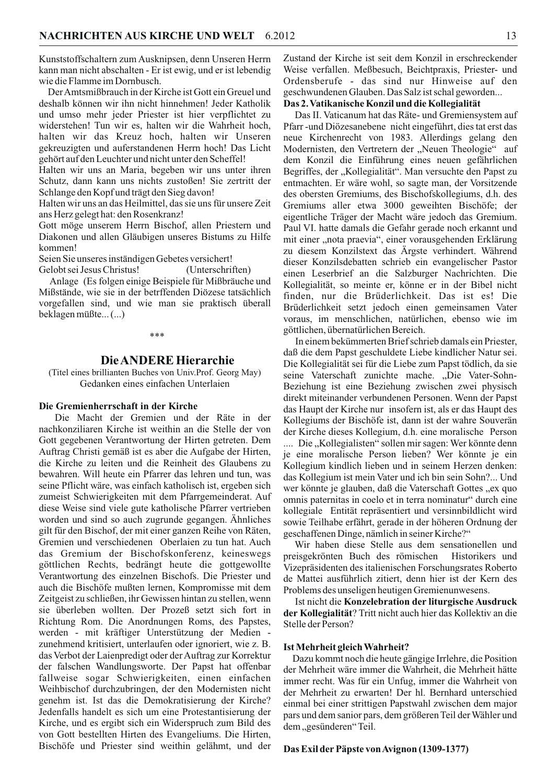Kunststoffschaltern zum Ausknipsen, denn Unseren Herrn kann man nicht abschalten - Er ist ewig, und er ist lebendig wie die Flamme im Dornbusch.

Der Amtsmißbrauch in der Kirche ist Gott ein Greuel und deshalb können wir ihn nicht hinnehmen! Jeder Katholik und umso mehr jeder Priester ist hier verpflichtet zu widerstehen! Tun wir es, halten wir die Wahrheit hoch, halten wir das Kreuz hoch, halten wir Unseren gekreuzigten und auferstandenen Herrn hoch! Das Licht gehört auf den Leuchter und nicht unter den Scheffel!

Halten wir uns an Maria, begeben wir uns unter ihren Schutz, dann kann uns nichts zustoßen! Sie zertritt der Schlange den Kopf und trägt den Sieg davon!

Halten wir uns an das Heilmittel, das sie uns für unsere Zeit ans Herz gelegt hat: den Rosenkranz!

Gott möge unserem Herrn Bischof, allen Priestern und Diakonen und allen Gläubigen unseres Bistums zu Hilfe kommen!

Seien Sie unseres inständigen Gebetes versichert! Gelobt sei Jesus Christus! (Unterschriften)

Anlage (Es folgen einige Beispiele für Mißbräuche und Mißstände, wie sie in der betrffenden Diözese tatsächlich vorgefallen sind, und wie man sie praktisch überall beklagen müßte... (...)

#### \*\*\*

# **Die ANDERE Hierarchie**

(Titel eines brillianten Buches von Univ.Prof. Georg May) Gedanken eines einfachen Unterlaien

#### Die Gremienherrschaft in der Kirche

Die Macht der Gremien und der Räte in der nachkonziliaren Kirche ist weithin an die Stelle der von Gott gegebenen Verantwortung der Hirten getreten. Dem Auftrag Christi gemäß ist es aber die Aufgabe der Hirten, die Kirche zu leiten und die Reinheit des Glaubens zu bewahren. Will heute ein Pfarrer das lehren und tun, was seine Pflicht wäre, was einfach katholisch ist, ergeben sich zumeist Schwierigkeiten mit dem Pfarrgemeinderat. Auf diese Weise sind viele gute katholische Pfarrer vertrieben worden und sind so auch zugrunde gegangen. Ähnliches gilt für den Bischof, der mit einer ganzen Reihe von Räten, Gremien und verschiedenen Oberlaien zu tun hat. Auch das Gremium der Bischofskonferenz, keineswegs göttlichen Rechts, bedrängt heute die gottgewollte Verantwortung des einzelnen Bischofs. Die Priester und auch die Bischöfe mußten lernen, Kompromisse mit dem Zeitgeist zu schließen, ihr Gewissen hintan zu stellen, wenn sie überleben wollten. Der Prozeß setzt sich fort in Richtung Rom. Die Anordnungen Roms, des Papstes, werden - mit kräftiger Unterstützung der Medien zunehmend kritisiert, unterlaufen oder ignoriert, wie z. B. das Verbot der Laienpredigt oder der Auftrag zur Korrektur der falschen Wandlungsworte. Der Papst hat offenbar fallweise sogar Schwierigkeiten, einen einfachen Weihbischof durchzubringen, der den Modernisten nicht genehm ist. Ist das die Demokratisierung der Kirche? Jedenfalls handelt es sich um eine Protestantisierung der Kirche, und es ergibt sich ein Widerspruch zum Bild des von Gott bestellten Hirten des Evangeliums. Die Hirten, Bischöfe und Priester sind weithin gelähmt, und der

Zustand der Kirche ist seit dem Konzil in erschreckender Weise verfallen. Meßbesuch, Beichtpraxis, Priester- und Ordensberufe - das sind nur Hinweise auf den geschwundenen Glauben. Das Salz ist schal geworden...

#### Das 2. Vatikanische Konzil und die Kollegialität

Das II. Vaticanum hat das Räte- und Gremiensystem auf Pfarr-und Diözesanebene nicht eingeführt, dies tat erst das neue Kirchenrecht von 1983. Allerdings gelang den Modernisten, den Vertretern der "Neuen Theologie" auf dem Konzil die Einführung eines neuen gefährlichen Begriffes, der "Kollegialität". Man versuchte den Papst zu entmachten. Er wäre wohl, so sagte man, der Vorsitzende des obersten Gremiums, des Bischofskollegiums, d.h. des Gremiums aller etwa 3000 geweihten Bischöfe; der eigentliche Träger der Macht wäre jedoch das Gremium. Paul VI. hatte damals die Gefahr gerade noch erkannt und mit einer "nota praevia", einer vorausgehenden Erklärung zu diesem Konzilstext das Ärgste verhindert. Während dieser Konzilsdebatten schrieb ein evangelischer Pastor einen Leserbrief an die Salzburger Nachrichten. Die Kollegialität, so meinte er, könne er in der Bibel nicht finden, nur die Brüderlichkeit. Das ist es! Die Brüderlichkeit setzt jedoch einen gemeinsamen Vater voraus, im menschlichen, natürlichen, ebenso wie im göttlichen, übernatürlichen Bereich.

In einem bekümmerten Brief schrieb damals ein Priester, daß die dem Papst geschuldete Liebe kindlicher Natur sei. Die Kollegialität sei für die Liebe zum Papst tödlich, da sie seine Vaterschaft zunichte mache. "Die Vater-Sohn-Beziehung ist eine Beziehung zwischen zwei physisch direkt miteinander verbundenen Personen. Wenn der Papst das Haupt der Kirche nur insofern ist, als er das Haupt des Kollegiums der Bischöfe ist, dann ist der wahre Souverän der Kirche dieses Kollegium, d.h. eine moralische Person .... Die "Kollegialisten" sollen mir sagen: Wer könnte denn je eine moralische Person lieben? Wer könnte je ein Kollegium kindlich lieben und in seinem Herzen denken: das Kollegium ist mein Vater und ich bin sein Sohn?... Und wer könnte je glauben, daß die Vaterschaft Gottes "ex quo omnis paternitas in coelo et in terra nominatur" durch eine kollegiale Entität repräsentiert und versinnbildlicht wird sowie Teilhabe erfährt, gerade in der höheren Ordnung der geschaffenen Dinge, nämlich in seiner Kirche?"

Wir haben diese Stelle aus dem sensationellen und preisgekrönten Buch des römischen Historikers und Vizepräsidenten des italienischen Forschungsrates Roberto de Mattei ausführlich zitiert, denn hier ist der Kern des Problems des unseligen heutigen Gremienunwesens.

Ist nicht die Konzelebration der liturgische Ausdruck der Kollegialität? Tritt nicht auch hier das Kollektiv an die Stelle der Person?

#### Ist Mehrheit gleich Wahrheit?

Dazu kommt noch die heute gängige Irrlehre, die Position der Mehrheit wäre immer die Wahrheit, die Mehrheit hätte immer recht. Was für ein Unfug, immer die Wahrheit von der Mehrheit zu erwarten! Der hl. Bernhard unterschied einmal bei einer strittigen Papstwahl zwischen dem major pars und dem sanior pars, dem größeren Teil der Wähler und dem, gesünderen" Teil.

# Das Exil der Päpste von Avignon (1309-1377)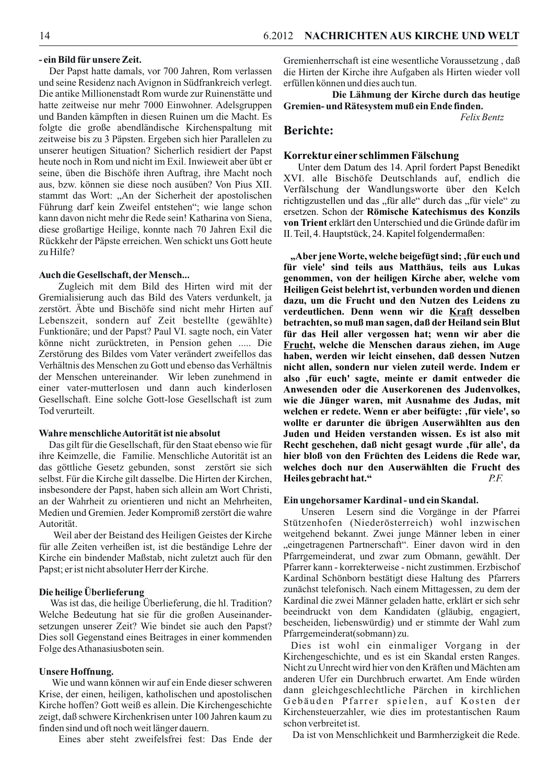#### - ein Bild für unsere Zeit.

Der Papst hatte damals, vor 700 Jahren, Rom verlassen und seine Residenz nach Avignon in Südfrankreich verlegt. Die antike Millionenstadt Rom wurde zur Ruinenstätte und hatte zeitweise nur mehr 7000 Einwohner. Adelsgruppen und Banden kämpften in diesen Ruinen um die Macht. Es folgte die große abendländische Kirchenspaltung mit zeitweise bis zu 3 Päpsten. Ergeben sich hier Parallelen zu unserer heutigen Situation? Sicherlich residiert der Papst heute noch in Rom und nicht im Exil. Inwieweit aber übt er seine, üben die Bischöfe ihren Auftrag, ihre Macht noch aus, bzw. können sie diese noch ausüben? Von Pius XII. stammt das Wort: "An der Sicherheit der apostolischen Führung darf kein Zweifel entstehen"; wie lange schon kann davon nicht mehr die Rede sein! Katharina von Siena, diese großartige Heilige, konnte nach 70 Jahren Exil die Rückkehr der Päpste erreichen. Wen schickt uns Gott heute zu Hilfe?

# Auch die Gesellschaft, der Mensch...

Zugleich mit dem Bild des Hirten wird mit der Gremialisierung auch das Bild des Vaters verdunkelt, ja zerstört. Äbte und Bischöfe sind nicht mehr Hirten auf Lebenszeit, sondern auf Zeit bestellte (gewählte) Funktionäre; und der Papst? Paul VI. sagte noch, ein Vater könne nicht zurücktreten, in Pension gehen ..... Die Zerstörung des Bildes vom Vater verändert zweifellos das Verhältnis des Menschen zu Gott und ebenso das Verhältnis der Menschen untereinander. Wir leben zunehmend in einer vater-mutterlosen und dann auch kinderlosen Gesellschaft. Eine solche Gott-lose Gesellschaft ist zum Tod verurteilt.

# Wahre menschliche Autorität ist nie absolut

Das gilt für die Gesellschaft, für den Staat ebenso wie für ihre Keimzelle, die Familie. Menschliche Autorität ist an das göttliche Gesetz gebunden, sonst zerstört sie sich selbst. Für die Kirche gilt dasselbe. Die Hirten der Kirchen, insbesondere der Papst, haben sich allein am Wort Christi, an der Wahrheit zu orientieren und nicht an Mehrheiten, Medien und Gremien. Jeder Kompromiß zerstört die wahre Autorität.

Weil aber der Beistand des Heiligen Geistes der Kirche für alle Zeiten verheißen ist, ist die beständige Lehre der Kirche ein bindender Maßstab, nicht zuletzt auch für den Papst; er ist nicht absoluter Herr der Kirche.

## Die heilige Überlieferung

Was ist das, die heilige Überlieferung, die hl. Tradition? Welche Bedeutung hat sie für die großen Auseinandersetzungen unserer Zeit? Wie bindet sie auch den Papst? Dies soll Gegenstand eines Beitrages in einer kommenden Folge des Athanasius boten sein.

#### **Unsere Hoffnung.**

Wie und wann können wir auf ein Ende dieser schweren Krise, der einen, heiligen, katholischen und apostolischen Kirche hoffen? Gott weiß es allein. Die Kirchengeschichte zeigt, daß schwere Kirchenkrisen unter 100 Jahren kaum zu finden sind und oft noch weit länger dauern.

Eines aber steht zweifelsfrei fest: Das Ende der

Gremienherrschaft ist eine wesentliche Voraussetzung, daß die Hirten der Kirche ihre Aufgaben als Hirten wieder voll erfüllen können und dies auch tun.

Die Lähmung der Kirche durch das heutige Gremien- und Rätesystem muß ein Ende finden.

Felix Bentz

# **Berichte:**

#### Korrektur einer schlimmen Fälschung

Unter dem Datum des 14. April fordert Papst Benedikt XVI. alle Bischöfe Deutschlands auf, endlich die Verfälschung der Wandlungsworte über den Kelch richtigzustellen und das "für alle" durch das "für viele" zu ersetzen. Schon der Römische Katechismus des Konzils von Trient erklärt den Unterschied und die Gründe dafür im II. Teil, 4. Hauptstück, 24. Kapitel folgendermaßen:

"Aber jene Worte, welche beigefügt sind; , für euch und für viele' sind teils aus Matthäus, teils aus Lukas genommen, von der heiligen Kirche aber, welche vom Heiligen Geist belehrt ist, verbunden worden und dienen dazu, um die Frucht und den Nutzen des Leidens zu verdeutlichen. Denn wenn wir die Kraft desselben betrachten, so muß man sagen, daß der Heiland sein Blut für das Heil aller vergossen hat; wenn wir aber die Frucht, welche die Menschen daraus ziehen, im Auge haben, werden wir leicht einsehen, daß dessen Nutzen nicht allen, sondern nur vielen zuteil werde. Indem er also , für euch' sagte, meinte er damit entweder die Anwesenden oder die Auserkorenen des Judenvolkes, wie die Jünger waren, mit Ausnahme des Judas, mit welchen er redete. Wenn er aber beifügte: , für viele', so wollte er darunter die übrigen Auserwählten aus den Juden und Heiden verstanden wissen. Es ist also mit Recht geschehen, daß nicht gesagt wurde , für alle', da hier bloß von den Früchten des Leidens die Rede war, welches doch nur den Auserwählten die Frucht des Heiles gebracht hat."  $P$   $F$ 

#### Ein ungehorsamer Kardinal - und ein Skandal.

Unseren Lesern sind die Vorgänge in der Pfarrei Stützenhofen (Niederösterreich) wohl inzwischen weitgehend bekannt. Zwei junge Männer leben in einer "eingetragenen Partnerschaft". Einer davon wird in den Pfarrgemeinderat, und zwar zum Obmann, gewählt. Der Pfarrer kann - korrekterweise - nicht zustimmen. Erzbischof Kardinal Schönborn bestätigt diese Haltung des Pfarrers zunächst telefonisch. Nach einem Mittagessen, zu dem der Kardinal die zwei Männer geladen hatte, erklärt er sich sehr beeindruckt von dem Kandidaten (gläubig, engagiert, bescheiden, liebenswürdig) und er stimmte der Wahl zum Pfarrgemeinderat(sobmann) zu.

Dies ist wohl ein einmaliger Vorgang in der Kirchengeschichte, und es ist ein Skandal ersten Ranges. Nicht zu Unrecht wird hier von den Kräften und Mächten am anderen Ufer ein Durchbruch erwartet. Am Ende würden dann gleichgeschlechtliche Pärchen in kirchlichen Gebäuden Pfarrer spielen, auf Kosten der Kirchensteuerzahler, wie dies im protestantischen Raum schon verbreitet ist.

Da ist von Menschlichkeit und Barmherzigkeit die Rede.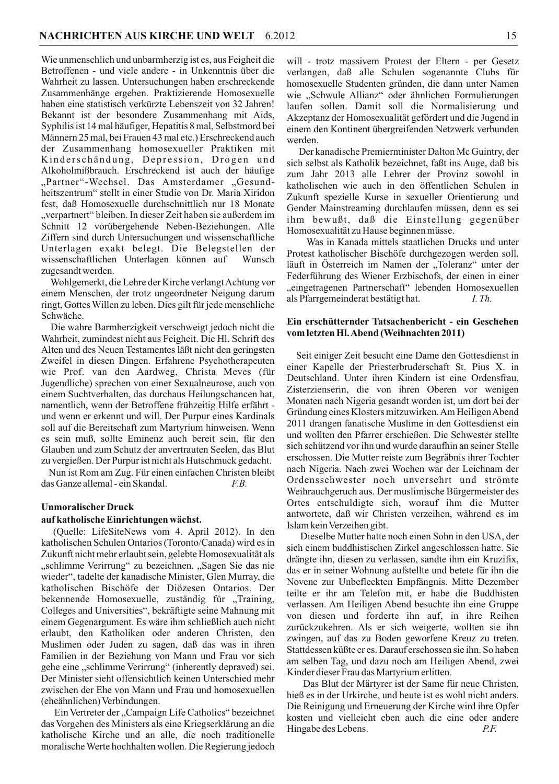Wie unmenschlich und unbarmherzig ist es, aus Feigheit die Betroffenen - und viele andere - in Unkenntnis über die Wahrheit zu lassen. Untersuchungen haben erschreckende Zusammenhänge ergeben. Praktizierende Homosexuelle haben eine statistisch verkürzte Lebenszeit von 32 Jahren! Bekannt ist der besondere Zusammenhang mit Aids, Syphilis ist 14 mal häufiger, Hepatitis 8 mal, Selbstmord bei Männern 25 mal, bei Frauen 43 mal etc.) Erschreckend auch der Zusammenhang homosexueller Praktiken mit Kinderschändung, Depression, Drogen und Alkoholmißbrauch. Erschreckend ist auch der häufige "Partner"-Wechsel. Das Amsterdamer "Gesundheitszentrum" stellt in einer Studie von Dr. Maria Xiridon fest, daß Homosexuelle durchschnittlich nur 18 Monate "verpartnert" bleiben. In dieser Zeit haben sie außerdem im Schnitt 12 vorübergehende Neben-Beziehungen. Alle Ziffern sind durch Untersuchungen und wissenschaftliche Unterlagen exakt belegt. Die Belegstellen der wissenschaftlichen Unterlagen können auf Wunsch zugesandt werden.

Wohlgemerkt, die Lehre der Kirche verlangt Achtung vor einem Menschen, der trotz ungeordneter Neigung darum ringt, Gottes Willen zu leben. Dies gilt für jede menschliche Schwäche.

Die wahre Barmherzigkeit verschweigt jedoch nicht die Wahrheit, zumindest nicht aus Feigheit. Die Hl. Schrift des Alten und des Neuen Testamentes läßt nicht den geringsten Zweifel in diesen Dingen. Erfahrene Psychotherapeuten wie Prof. van den Aardweg, Christa Meves (für Jugendliche) sprechen von einer Sexualneurose, auch von einem Suchtverhalten, das durchaus Heilungschancen hat, namentlich, wenn der Betroffene frühzeitig Hilfe erfährt und wenn er erkennt und will. Der Purpur eines Kardinals soll auf die Bereitschaft zum Martyrium hinweisen. Wenn es sein muß, sollte Eminenz auch bereit sein, für den Glauben und zum Schutz der anvertrauten Seelen, das Blut zu vergießen. Der Purpur ist nicht als Hutschmuck gedacht.

Nun ist Rom am Zug. Für einen einfachen Christen bleibt das Ganze allemal - ein Skandal.  $E.B.$ 

# **Unmoralischer Druck**

#### auf katholische Einrichtungen wächst.

(Quelle: LifeSiteNews vom 4. April 2012). In den katholischen Schulen Ontarios (Toronto/Canada) wird es in Zukunft nicht mehr erlaubt sein, gelebte Homosexualität als "schlimme Verirrung" zu bezeichnen. "Sagen Sie das nie wieder", tadelte der kanadische Minister, Glen Murray, die katholischen Bischöfe der Diözesen Ontarios. Der bekennende Homosexuelle, zuständig für "Training, Colleges and Universities", bekräftigte seine Mahnung mit einem Gegenargument. Es wäre ihm schließlich auch nicht erlaubt, den Katholiken oder anderen Christen, den Muslimen oder Juden zu sagen, daß das was in ihren Familien in der Beziehung von Mann und Frau vor sich gehe eine "schlimme Verirrung" (inherently depraved) sei. Der Minister sieht offensichtlich keinen Unterschied mehr zwischen der Ehe von Mann und Frau und homosexuellen (eheähnlichen) Verbindungen.

Ein Vertreter der "Campaign Life Catholics" bezeichnet das Vorgehen des Ministers als eine Kriegserklärung an die katholische Kirche und an alle, die noch traditionelle moralische Werte hochhalten wollen. Die Regierung jedoch

will - trotz massivem Protest der Eltern - per Gesetz verlangen, daß alle Schulen sogenannte Clubs für homosexuelle Studenten gründen, die dann unter Namen wie "Schwule Allianz" oder ähnlichen Formulierungen laufen sollen. Damit soll die Normalisierung und Akzeptanz der Homosexualität gefördert und die Jugend in einem den Kontinent übergreifenden Netzwerk verbunden werden.

Der kanadische Premierminister Dalton Mc Guintry, der sich selbst als Katholik bezeichnet, faßt ins Auge, daß bis zum Jahr 2013 alle Lehrer der Provinz sowohl in katholischen wie auch in den öffentlichen Schulen in Zukunft spezielle Kurse in sexueller Orientierung und Gender Mainstreaming durchlaufen müssen, denn es sei ihm bewußt, daß die Einstellung gegenüber Homosexualität zu Hause beginnen müsse.

Was in Kanada mittels staatlichen Drucks und unter Protest katholischer Bischöfe durchgezogen werden soll, läuft in Österreich im Namen der "Toleranz" unter der Federführung des Wiener Erzbischofs, der einen in einer "eingetragenen Partnerschaft" lebenden Homosexuellen als Pfarrgemeinderat bestätigt hat.  $I$  Th

# Ein erschütternder Tatsachenbericht - ein Geschehen vom letzten Hl. Abend (Weihnachten 2011)

Seit einiger Zeit besucht eine Dame den Gottesdienst in einer Kapelle der Priesterbruderschaft St. Pius X. in Deutschland. Unter ihren Kindern ist eine Ordensfrau, Zisterzienserin, die von ihren Oberen vor wenigen Monaten nach Nigeria gesandt worden ist, um dort bei der Gründung eines Klosters mitzuwirken. Am Heiligen Abend 2011 drangen fanatische Muslime in den Gottesdienst ein und wollten den Pfarrer erschießen. Die Schwester stellte sich schützend vor ihn und wurde daraufhin an seiner Stelle erschossen. Die Mutter reiste zum Begräbnis ihrer Tochter nach Nigeria. Nach zwei Wochen war der Leichnam der Ordensschwester noch unversehrt und strömte Weihrauchgeruch aus. Der muslimische Bürgermeister des Ortes entschuldigte sich, worauf ihm die Mutter antwortete, daß wir Christen verzeihen, während es im Islam kein Verzeihen gibt.

Dieselbe Mutter hatte noch einen Sohn in den USA, der sich einem buddhistischen Zirkel angeschlossen hatte. Sie drängte ihn, diesen zu verlassen, sandte ihm ein Kruzifix, das er in seiner Wohnung aufstellte und betete für ihn die Novene zur Unbefleckten Empfängnis. Mitte Dezember teilte er ihr am Telefon mit, er habe die Buddhisten verlassen. Am Heiligen Abend besuchte ihn eine Gruppe von diesen und forderte ihn auf, in ihre Reihen zurückzukehren. Als er sich weigerte, wollten sie ihn zwingen, auf das zu Boden geworfene Kreuz zu treten. Stattdessen küßte er es. Darauf erschossen sie ihn. So haben am selben Tag, und dazu noch am Heiligen Abend, zwei Kinder dieser Frau das Martyrium erlitten.

Das Blut der Märtyrer ist der Same für neue Christen, hieß es in der Urkirche, und heute ist es wohl nicht anders. Die Reinigung und Erneuerung der Kirche wird ihre Opfer kosten und vielleicht eben auch die eine oder andere Hingabe des Lebens.  $P.F.$